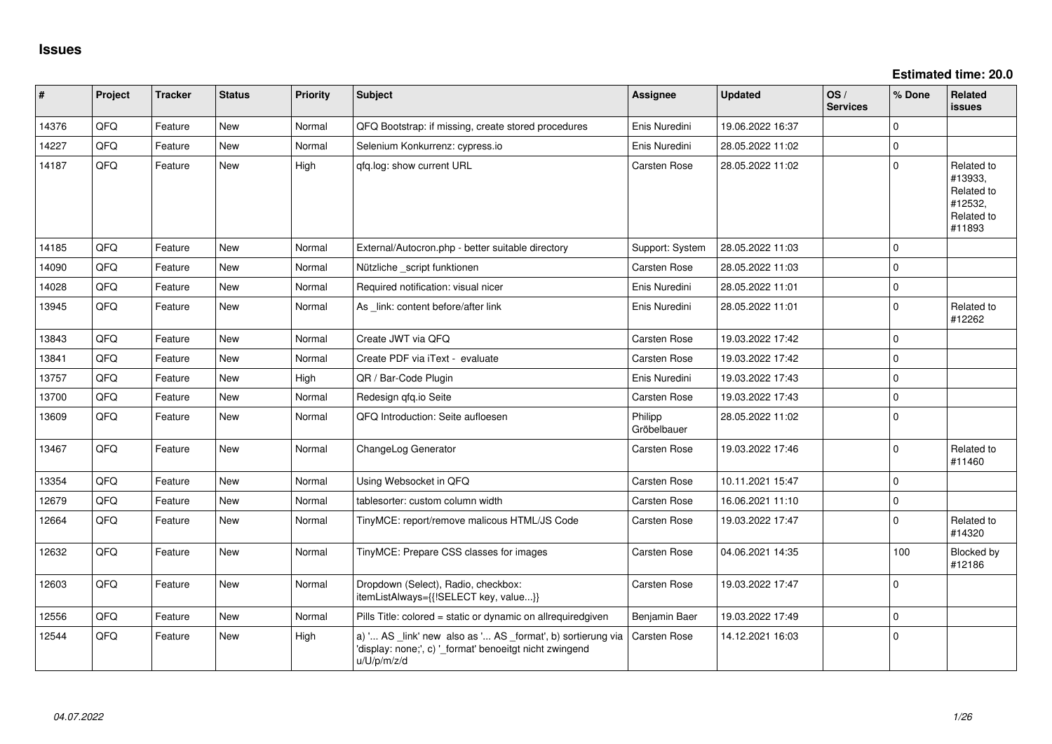**Estimated time: 20.0**

| #     | Project | <b>Tracker</b> | <b>Status</b> | <b>Priority</b> | <b>Subject</b>                                                                                                                        | <b>Assignee</b>        | <b>Updated</b>   | OS/<br><b>Services</b> | % Done      | Related<br>issues                                                      |
|-------|---------|----------------|---------------|-----------------|---------------------------------------------------------------------------------------------------------------------------------------|------------------------|------------------|------------------------|-------------|------------------------------------------------------------------------|
| 14376 | QFQ     | Feature        | <b>New</b>    | Normal          | QFQ Bootstrap: if missing, create stored procedures                                                                                   | Enis Nuredini          | 19.06.2022 16:37 |                        | $\Omega$    |                                                                        |
| 14227 | QFQ     | Feature        | <b>New</b>    | Normal          | Selenium Konkurrenz: cypress.io                                                                                                       | Enis Nuredini          | 28.05.2022 11:02 |                        | $\Omega$    |                                                                        |
| 14187 | QFQ     | Feature        | <b>New</b>    | High            | qfq.log: show current URL                                                                                                             | Carsten Rose           | 28.05.2022 11:02 |                        | $\Omega$    | Related to<br>#13933,<br>Related to<br>#12532,<br>Related to<br>#11893 |
| 14185 | QFQ     | Feature        | <b>New</b>    | Normal          | External/Autocron.php - better suitable directory                                                                                     | Support: System        | 28.05.2022 11:03 |                        | $\mathbf 0$ |                                                                        |
| 14090 | QFQ     | Feature        | <b>New</b>    | Normal          | Nützliche _script funktionen                                                                                                          | Carsten Rose           | 28.05.2022 11:03 |                        | $\mathbf 0$ |                                                                        |
| 14028 | QFQ     | Feature        | <b>New</b>    | Normal          | Required notification: visual nicer                                                                                                   | Enis Nuredini          | 28.05.2022 11:01 |                        | $\mathbf 0$ |                                                                        |
| 13945 | QFQ     | Feature        | <b>New</b>    | Normal          | As _link: content before/after link                                                                                                   | Enis Nuredini          | 28.05.2022 11:01 |                        | $\mathbf 0$ | Related to<br>#12262                                                   |
| 13843 | QFQ     | Feature        | <b>New</b>    | Normal          | Create JWT via QFQ                                                                                                                    | Carsten Rose           | 19.03.2022 17:42 |                        | $\Omega$    |                                                                        |
| 13841 | QFQ     | Feature        | <b>New</b>    | Normal          | Create PDF via iText - evaluate                                                                                                       | Carsten Rose           | 19.03.2022 17:42 |                        | $\Omega$    |                                                                        |
| 13757 | QFQ     | Feature        | <b>New</b>    | High            | QR / Bar-Code Plugin                                                                                                                  | Enis Nuredini          | 19.03.2022 17:43 |                        | $\mathbf 0$ |                                                                        |
| 13700 | QFQ     | Feature        | <b>New</b>    | Normal          | Redesign qfq.io Seite                                                                                                                 | Carsten Rose           | 19.03.2022 17:43 |                        | $\mathbf 0$ |                                                                        |
| 13609 | QFQ     | Feature        | New           | Normal          | QFQ Introduction: Seite aufloesen                                                                                                     | Philipp<br>Gröbelbauer | 28.05.2022 11:02 |                        | $\Omega$    |                                                                        |
| 13467 | QFQ     | Feature        | <b>New</b>    | Normal          | ChangeLog Generator                                                                                                                   | <b>Carsten Rose</b>    | 19.03.2022 17:46 |                        | $\pmb{0}$   | Related to<br>#11460                                                   |
| 13354 | QFQ     | Feature        | <b>New</b>    | Normal          | Using Websocket in QFQ                                                                                                                | <b>Carsten Rose</b>    | 10.11.2021 15:47 |                        | $\mathbf 0$ |                                                                        |
| 12679 | QFQ     | Feature        | <b>New</b>    | Normal          | tablesorter: custom column width                                                                                                      | <b>Carsten Rose</b>    | 16.06.2021 11:10 |                        | $\mathbf 0$ |                                                                        |
| 12664 | QFQ     | Feature        | <b>New</b>    | Normal          | TinyMCE: report/remove malicous HTML/JS Code                                                                                          | <b>Carsten Rose</b>    | 19.03.2022 17:47 |                        | $\mathbf 0$ | Related to<br>#14320                                                   |
| 12632 | QFQ     | Feature        | <b>New</b>    | Normal          | TinyMCE: Prepare CSS classes for images                                                                                               | Carsten Rose           | 04.06.2021 14:35 |                        | 100         | Blocked by<br>#12186                                                   |
| 12603 | QFQ     | Feature        | New           | Normal          | Dropdown (Select), Radio, checkbox:<br>itemListAlways={{!SELECT key, value}}                                                          | <b>Carsten Rose</b>    | 19.03.2022 17:47 |                        | $\mathbf 0$ |                                                                        |
| 12556 | QFQ     | Feature        | <b>New</b>    | Normal          | Pills Title: colored = static or dynamic on allrequiredgiven                                                                          | Benjamin Baer          | 19.03.2022 17:49 |                        | $\mathbf 0$ |                                                                        |
| 12544 | QFQ     | Feature        | <b>New</b>    | High            | a) ' AS _link' new also as ' AS _format', b) sortierung via<br>'display: none;', c) '_format' benoeitgt nicht zwingend<br>u/U/p/m/z/d | Carsten Rose           | 14.12.2021 16:03 |                        | $\mathbf 0$ |                                                                        |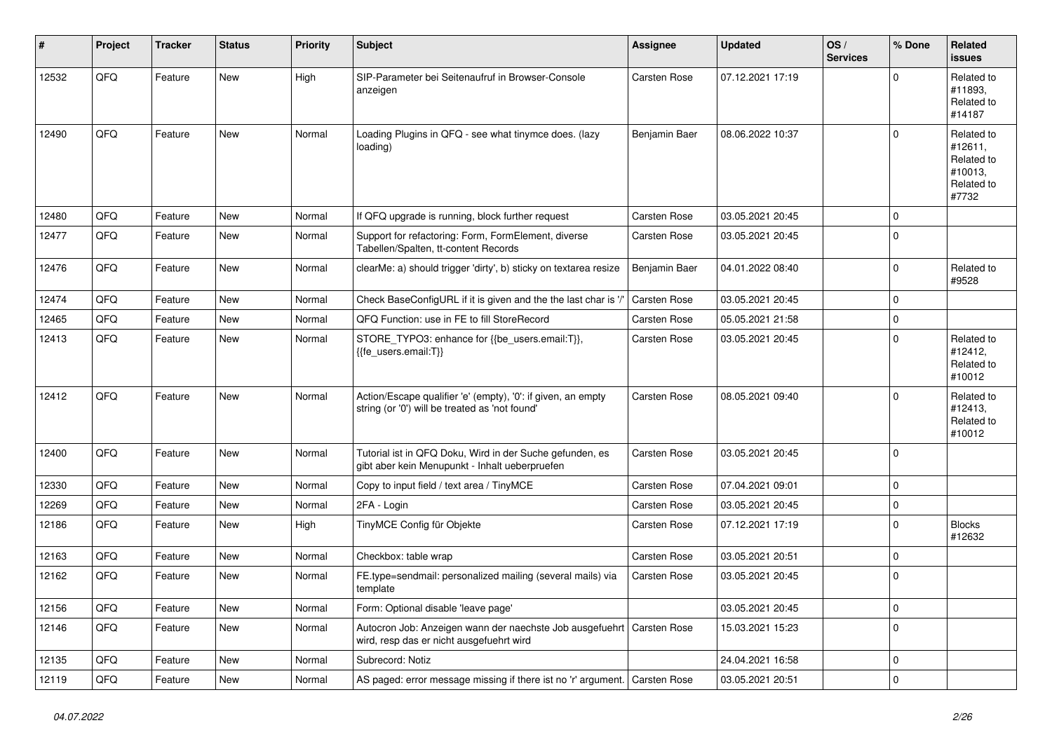| #     | Project | <b>Tracker</b> | <b>Status</b> | <b>Priority</b> | <b>Subject</b>                                                                                                 | <b>Assignee</b>     | <b>Updated</b>   | OS/<br><b>Services</b> | % Done         | Related<br><b>issues</b>                                              |
|-------|---------|----------------|---------------|-----------------|----------------------------------------------------------------------------------------------------------------|---------------------|------------------|------------------------|----------------|-----------------------------------------------------------------------|
| 12532 | QFQ     | Feature        | <b>New</b>    | High            | SIP-Parameter bei Seitenaufruf in Browser-Console<br>anzeigen                                                  | Carsten Rose        | 07.12.2021 17:19 |                        | $\Omega$       | Related to<br>#11893.<br>Related to<br>#14187                         |
| 12490 | QFQ     | Feature        | New           | Normal          | Loading Plugins in QFQ - see what tinymce does. (lazy<br>loading)                                              | Benjamin Baer       | 08.06.2022 10:37 |                        | $\mathbf 0$    | Related to<br>#12611,<br>Related to<br>#10013,<br>Related to<br>#7732 |
| 12480 | QFQ     | Feature        | <b>New</b>    | Normal          | If QFQ upgrade is running, block further request                                                               | <b>Carsten Rose</b> | 03.05.2021 20:45 |                        | $\mathbf 0$    |                                                                       |
| 12477 | QFQ     | Feature        | <b>New</b>    | Normal          | Support for refactoring: Form, FormElement, diverse<br>Tabellen/Spalten, tt-content Records                    | Carsten Rose        | 03.05.2021 20:45 |                        | $\Omega$       |                                                                       |
| 12476 | QFQ     | Feature        | <b>New</b>    | Normal          | clearMe: a) should trigger 'dirty', b) sticky on textarea resize                                               | Benjamin Baer       | 04.01.2022 08:40 |                        | $\mathsf 0$    | Related to<br>#9528                                                   |
| 12474 | QFQ     | Feature        | New           | Normal          | Check BaseConfigURL if it is given and the the last char is '/'                                                | <b>Carsten Rose</b> | 03.05.2021 20:45 |                        | $\mathbf 0$    |                                                                       |
| 12465 | QFQ     | Feature        | New           | Normal          | QFQ Function: use in FE to fill StoreRecord                                                                    | Carsten Rose        | 05.05.2021 21:58 |                        | $\pmb{0}$      |                                                                       |
| 12413 | QFQ     | Feature        | New           | Normal          | STORE TYPO3: enhance for {{be users.email:T}},<br>{{fe users.email:T}}                                         | <b>Carsten Rose</b> | 03.05.2021 20:45 |                        | $\mathbf 0$    | Related to<br>#12412,<br>Related to<br>#10012                         |
| 12412 | QFQ     | Feature        | <b>New</b>    | Normal          | Action/Escape qualifier 'e' (empty), '0': if given, an empty<br>string (or '0') will be treated as 'not found' | Carsten Rose        | 08.05.2021 09:40 |                        | $\mathbf 0$    | Related to<br>#12413,<br>Related to<br>#10012                         |
| 12400 | QFQ     | Feature        | <b>New</b>    | Normal          | Tutorial ist in QFQ Doku, Wird in der Suche gefunden, es<br>gibt aber kein Menupunkt - Inhalt ueberpruefen     | Carsten Rose        | 03.05.2021 20:45 |                        | $\mathbf 0$    |                                                                       |
| 12330 | QFQ     | Feature        | <b>New</b>    | Normal          | Copy to input field / text area / TinyMCE                                                                      | Carsten Rose        | 07.04.2021 09:01 |                        | $\pmb{0}$      |                                                                       |
| 12269 | QFQ     | Feature        | <b>New</b>    | Normal          | 2FA - Login                                                                                                    | <b>Carsten Rose</b> | 03.05.2021 20:45 |                        | $\pmb{0}$      |                                                                       |
| 12186 | QFQ     | Feature        | New           | High            | TinyMCE Config für Objekte                                                                                     | <b>Carsten Rose</b> | 07.12.2021 17:19 |                        | $\mathsf 0$    | <b>Blocks</b><br>#12632                                               |
| 12163 | QFQ     | Feature        | <b>New</b>    | Normal          | Checkbox: table wrap                                                                                           | <b>Carsten Rose</b> | 03.05.2021 20:51 |                        | $\mathbf 0$    |                                                                       |
| 12162 | QFQ     | Feature        | <b>New</b>    | Normal          | FE.type=sendmail: personalized mailing (several mails) via<br>template                                         | Carsten Rose        | 03.05.2021 20:45 |                        | $\Omega$       |                                                                       |
| 12156 | QFQ     | Feature        | <b>New</b>    | Normal          | Form: Optional disable 'leave page'                                                                            |                     | 03.05.2021 20:45 |                        | $\mathbf 0$    |                                                                       |
| 12146 | QFQ     | Feature        | New           | Normal          | Autocron Job: Anzeigen wann der naechste Job ausgefuehrt<br>wird, resp das er nicht ausgefuehrt wird           | Carsten Rose        | 15.03.2021 15:23 |                        | $\overline{0}$ |                                                                       |
| 12135 | QFQ     | Feature        | New           | Normal          | Subrecord: Notiz                                                                                               |                     | 24.04.2021 16:58 |                        | 0              |                                                                       |
| 12119 | QFQ     | Feature        | New           | Normal          | AS paged: error message missing if there ist no 'r' argument.                                                  | <b>Carsten Rose</b> | 03.05.2021 20:51 |                        | 0              |                                                                       |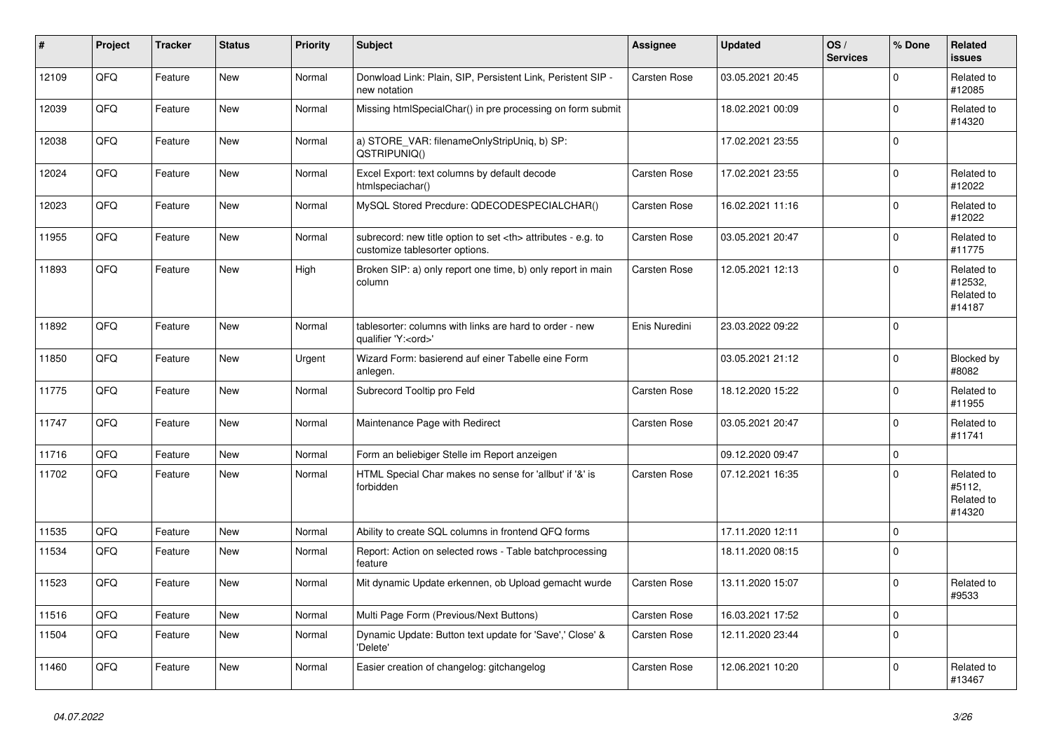| #     | Project | <b>Tracker</b> | <b>Status</b> | <b>Priority</b> | <b>Subject</b>                                                                                       | Assignee                                               | <b>Updated</b>   | OS/<br><b>Services</b> | % Done         | Related<br><b>issues</b>                      |                      |
|-------|---------|----------------|---------------|-----------------|------------------------------------------------------------------------------------------------------|--------------------------------------------------------|------------------|------------------------|----------------|-----------------------------------------------|----------------------|
| 12109 | QFQ     | Feature        | <b>New</b>    | Normal          | Donwload Link: Plain, SIP, Persistent Link, Peristent SIP -<br>new notation                          | <b>Carsten Rose</b>                                    | 03.05.2021 20:45 |                        | $\Omega$       | Related to<br>#12085                          |                      |
| 12039 | QFQ     | Feature        | <b>New</b>    | Normal          | Missing htmlSpecialChar() in pre processing on form submit                                           |                                                        | 18.02.2021 00:09 |                        | $\Omega$       | Related to<br>#14320                          |                      |
| 12038 | QFQ     | Feature        | New           | Normal          | a) STORE VAR: filenameOnlyStripUniq, b) SP:<br>QSTRIPUNIQ()                                          |                                                        | 17.02.2021 23:55 |                        | $\Omega$       |                                               |                      |
| 12024 | QFQ     | Feature        | <b>New</b>    | Normal          | Excel Export: text columns by default decode<br>htmlspeciachar()                                     | <b>Carsten Rose</b>                                    | 17.02.2021 23:55 |                        | $\Omega$       | Related to<br>#12022                          |                      |
| 12023 | QFQ     | Feature        | <b>New</b>    | Normal          | MySQL Stored Precdure: QDECODESPECIALCHAR()                                                          | <b>Carsten Rose</b>                                    | 16.02.2021 11:16 |                        | $\overline{0}$ | Related to<br>#12022                          |                      |
| 11955 | QFQ     | Feature        | New           | Normal          | subrecord: new title option to set <th> attributes - e.g. to<br/>customize tablesorter options.</th> | attributes - e.g. to<br>customize tablesorter options. | Carsten Rose     | 03.05.2021 20:47       |                | $\Omega$                                      | Related to<br>#11775 |
| 11893 | QFQ     | Feature        | New           | High            | Broken SIP: a) only report one time, b) only report in main<br>column                                | Carsten Rose                                           | 12.05.2021 12:13 |                        | $\Omega$       | Related to<br>#12532,<br>Related to<br>#14187 |                      |
| 11892 | QFQ     | Feature        | New           | Normal          | tablesorter: columns with links are hard to order - new<br>qualifier 'Y: <ord>'</ord>                | Enis Nuredini                                          | 23.03.2022 09:22 |                        | $\Omega$       |                                               |                      |
| 11850 | QFQ     | Feature        | <b>New</b>    | Urgent          | Wizard Form: basierend auf einer Tabelle eine Form<br>anlegen.                                       |                                                        | 03.05.2021 21:12 |                        | $\Omega$       | Blocked by<br>#8082                           |                      |
| 11775 | QFQ     | Feature        | <b>New</b>    | Normal          | Subrecord Tooltip pro Feld                                                                           | Carsten Rose                                           | 18.12.2020 15:22 |                        | $\Omega$       | Related to<br>#11955                          |                      |
| 11747 | QFQ     | Feature        | New           | Normal          | Maintenance Page with Redirect                                                                       | <b>Carsten Rose</b>                                    | 03.05.2021 20:47 |                        | 0              | Related to<br>#11741                          |                      |
| 11716 | QFQ     | Feature        | <b>New</b>    | Normal          | Form an beliebiger Stelle im Report anzeigen                                                         |                                                        | 09.12.2020 09:47 |                        | $\Omega$       |                                               |                      |
| 11702 | QFQ     | Feature        | <b>New</b>    | Normal          | HTML Special Char makes no sense for 'allbut' if '&' is<br>forbidden                                 | <b>Carsten Rose</b>                                    | 07.12.2021 16:35 |                        | $\Omega$       | Related to<br>#5112,<br>Related to<br>#14320  |                      |
| 11535 | QFQ     | Feature        | <b>New</b>    | Normal          | Ability to create SQL columns in frontend QFQ forms                                                  |                                                        | 17.11.2020 12:11 |                        | 0              |                                               |                      |
| 11534 | QFQ     | Feature        | New           | Normal          | Report: Action on selected rows - Table batchprocessing<br>feature                                   |                                                        | 18.11.2020 08:15 |                        | $\Omega$       |                                               |                      |
| 11523 | QFQ     | Feature        | <b>New</b>    | Normal          | Mit dynamic Update erkennen, ob Upload gemacht wurde                                                 | <b>Carsten Rose</b>                                    | 13.11.2020 15:07 |                        | $\Omega$       | Related to<br>#9533                           |                      |
| 11516 | QFQ     | Feature        | <b>New</b>    | Normal          | Multi Page Form (Previous/Next Buttons)                                                              | <b>Carsten Rose</b>                                    | 16.03.2021 17:52 |                        | $\mathbf{0}$   |                                               |                      |
| 11504 | QFQ     | Feature        | <b>New</b>    | Normal          | Dynamic Update: Button text update for 'Save',' Close' &<br>'Delete'                                 | <b>Carsten Rose</b>                                    | 12.11.2020 23:44 |                        | $\mathbf 0$    |                                               |                      |
| 11460 | QFQ     | Feature        | <b>New</b>    | Normal          | Easier creation of changelog: gitchangelog                                                           | Carsten Rose                                           | 12.06.2021 10:20 |                        | 0              | Related to<br>#13467                          |                      |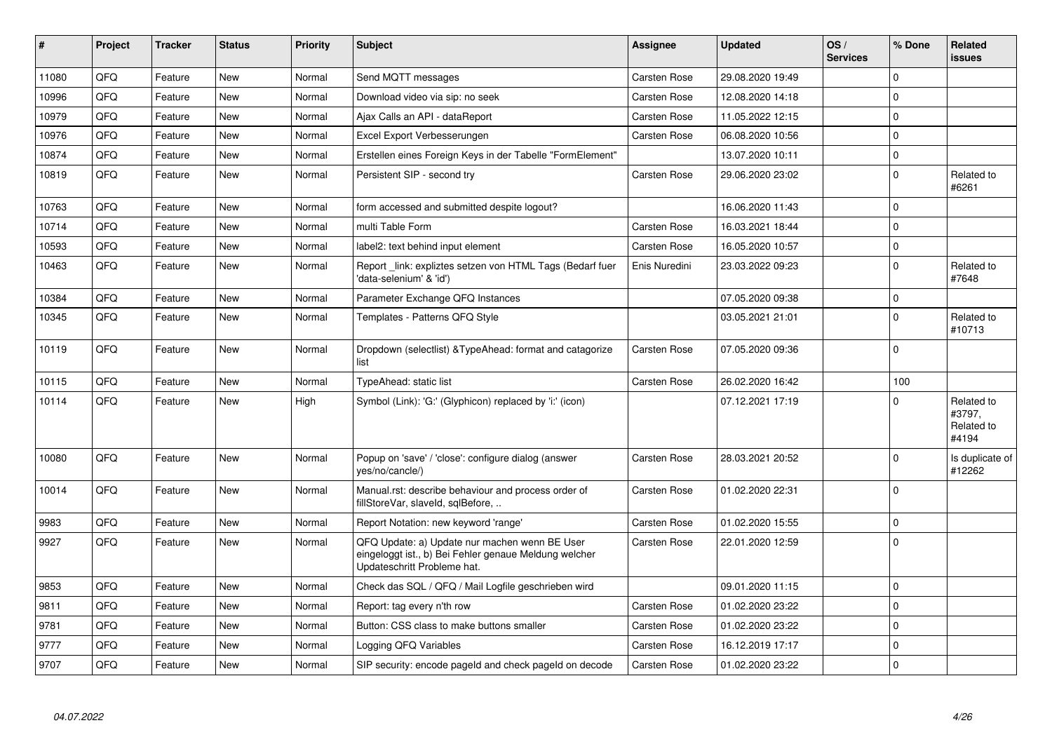| #     | Project | <b>Tracker</b> | <b>Status</b> | <b>Priority</b> | <b>Subject</b>                                                                                                                        | Assignee            | <b>Updated</b>   | OS/<br><b>Services</b> | % Done              | Related<br><b>issues</b>                    |
|-------|---------|----------------|---------------|-----------------|---------------------------------------------------------------------------------------------------------------------------------------|---------------------|------------------|------------------------|---------------------|---------------------------------------------|
| 11080 | QFQ     | Feature        | <b>New</b>    | Normal          | Send MQTT messages                                                                                                                    | <b>Carsten Rose</b> | 29.08.2020 19:49 |                        | $\Omega$            |                                             |
| 10996 | QFQ     | Feature        | <b>New</b>    | Normal          | Download video via sip: no seek                                                                                                       | Carsten Rose        | 12.08.2020 14:18 |                        | $\Omega$            |                                             |
| 10979 | QFQ     | Feature        | <b>New</b>    | Normal          | Ajax Calls an API - dataReport                                                                                                        | <b>Carsten Rose</b> | 11.05.2022 12:15 |                        | $\mathbf 0$         |                                             |
| 10976 | QFQ     | Feature        | <b>New</b>    | Normal          | Excel Export Verbesserungen                                                                                                           | <b>Carsten Rose</b> | 06.08.2020 10:56 |                        | $\mathbf 0$         |                                             |
| 10874 | QFQ     | Feature        | <b>New</b>    | Normal          | Erstellen eines Foreign Keys in der Tabelle "FormElement"                                                                             |                     | 13.07.2020 10:11 |                        | $\mathbf 0$         |                                             |
| 10819 | QFQ     | Feature        | <b>New</b>    | Normal          | Persistent SIP - second try                                                                                                           | Carsten Rose        | 29.06.2020 23:02 |                        | $\Omega$            | Related to<br>#6261                         |
| 10763 | QFQ     | Feature        | <b>New</b>    | Normal          | form accessed and submitted despite logout?                                                                                           |                     | 16.06.2020 11:43 |                        | $\mathbf 0$         |                                             |
| 10714 | QFQ     | Feature        | <b>New</b>    | Normal          | multi Table Form                                                                                                                      | <b>Carsten Rose</b> | 16.03.2021 18:44 |                        | $\mathbf 0$         |                                             |
| 10593 | QFQ     | Feature        | New           | Normal          | label2: text behind input element                                                                                                     | <b>Carsten Rose</b> | 16.05.2020 10:57 |                        | $\mathbf 0$         |                                             |
| 10463 | QFQ     | Feature        | New           | Normal          | Report link: expliztes setzen von HTML Tags (Bedarf fuer<br>'data-selenium' & 'id')                                                   | Enis Nuredini       | 23.03.2022 09:23 |                        | $\mathbf 0$         | Related to<br>#7648                         |
| 10384 | QFQ     | Feature        | New           | Normal          | Parameter Exchange QFQ Instances                                                                                                      |                     | 07.05.2020 09:38 |                        | $\mathsf{O}\xspace$ |                                             |
| 10345 | QFQ     | Feature        | New           | Normal          | Templates - Patterns QFQ Style                                                                                                        |                     | 03.05.2021 21:01 |                        | $\mathbf 0$         | Related to<br>#10713                        |
| 10119 | QFQ     | Feature        | New           | Normal          | Dropdown (selectlist) & TypeAhead: format and catagorize<br>list                                                                      | <b>Carsten Rose</b> | 07.05.2020 09:36 |                        | $\Omega$            |                                             |
| 10115 | QFQ     | Feature        | New           | Normal          | TypeAhead: static list                                                                                                                | <b>Carsten Rose</b> | 26.02.2020 16:42 |                        | 100                 |                                             |
| 10114 | QFQ     | Feature        | New           | High            | Symbol (Link): 'G:' (Glyphicon) replaced by 'i:' (icon)                                                                               |                     | 07.12.2021 17:19 |                        | $\Omega$            | Related to<br>#3797,<br>Related to<br>#4194 |
| 10080 | QFQ     | Feature        | <b>New</b>    | Normal          | Popup on 'save' / 'close': configure dialog (answer<br>yes/no/cancle/)                                                                | Carsten Rose        | 28.03.2021 20:52 |                        | $\mathbf 0$         | Is duplicate of<br>#12262                   |
| 10014 | QFQ     | Feature        | <b>New</b>    | Normal          | Manual.rst: describe behaviour and process order of<br>fillStoreVar, slaveId, sqlBefore,                                              | <b>Carsten Rose</b> | 01.02.2020 22:31 |                        | $\Omega$            |                                             |
| 9983  | QFQ     | Feature        | <b>New</b>    | Normal          | Report Notation: new keyword 'range'                                                                                                  | Carsten Rose        | 01.02.2020 15:55 |                        | $\mathbf 0$         |                                             |
| 9927  | QFQ     | Feature        | <b>New</b>    | Normal          | QFQ Update: a) Update nur machen wenn BE User<br>eingeloggt ist., b) Bei Fehler genaue Meldung welcher<br>Updateschritt Probleme hat. | Carsten Rose        | 22.01.2020 12:59 |                        | $\Omega$            |                                             |
| 9853  | QFQ     | Feature        | <b>New</b>    | Normal          | Check das SQL / QFQ / Mail Logfile geschrieben wird                                                                                   |                     | 09.01.2020 11:15 |                        | $\mathbf 0$         |                                             |
| 9811  | QFQ     | Feature        | <b>New</b>    | Normal          | Report: tag every n'th row                                                                                                            | <b>Carsten Rose</b> | 01.02.2020 23:22 |                        | $\Omega$            |                                             |
| 9781  | QFQ     | Feature        | New           | Normal          | Button: CSS class to make buttons smaller                                                                                             | <b>Carsten Rose</b> | 01.02.2020 23:22 |                        | $\mathbf 0$         |                                             |
| 9777  | QFQ     | Feature        | New           | Normal          | Logging QFQ Variables                                                                                                                 | Carsten Rose        | 16.12.2019 17:17 |                        | $\mathbf 0$         |                                             |
| 9707  | QFQ     | Feature        | <b>New</b>    | Normal          | SIP security: encode pageld and check pageld on decode                                                                                | <b>Carsten Rose</b> | 01.02.2020 23:22 |                        | $\mathbf 0$         |                                             |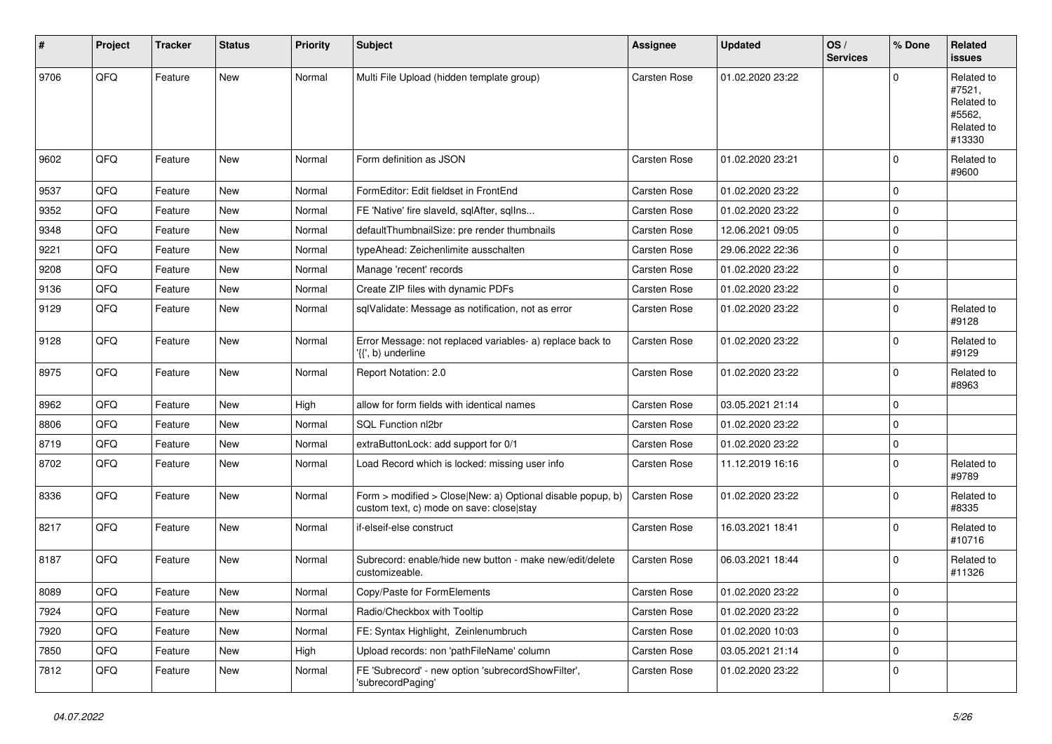| #    | Project | <b>Tracker</b> | <b>Status</b> | <b>Priority</b> | <b>Subject</b>                                                                                         | <b>Assignee</b> | <b>Updated</b>   | OS/<br><b>Services</b> | % Done       | Related<br><b>issues</b>                                             |
|------|---------|----------------|---------------|-----------------|--------------------------------------------------------------------------------------------------------|-----------------|------------------|------------------------|--------------|----------------------------------------------------------------------|
| 9706 | QFQ     | Feature        | New           | Normal          | Multi File Upload (hidden template group)                                                              | Carsten Rose    | 01.02.2020 23:22 |                        | $\mathbf 0$  | Related to<br>#7521,<br>Related to<br>#5562,<br>Related to<br>#13330 |
| 9602 | QFQ     | Feature        | New           | Normal          | Form definition as JSON                                                                                | Carsten Rose    | 01.02.2020 23:21 |                        | $\mathbf 0$  | Related to<br>#9600                                                  |
| 9537 | QFQ     | Feature        | <b>New</b>    | Normal          | FormEditor: Edit fieldset in FrontEnd                                                                  | Carsten Rose    | 01.02.2020 23:22 |                        | $\mathbf 0$  |                                                                      |
| 9352 | QFQ     | Feature        | New           | Normal          | FE 'Native' fire slaveld, sqlAfter, sqlIns                                                             | Carsten Rose    | 01.02.2020 23:22 |                        | 0            |                                                                      |
| 9348 | QFQ     | Feature        | <b>New</b>    | Normal          | defaultThumbnailSize: pre render thumbnails                                                            | Carsten Rose    | 12.06.2021 09:05 |                        | 0            |                                                                      |
| 9221 | QFQ     | Feature        | New           | Normal          | typeAhead: Zeichenlimite ausschalten                                                                   | Carsten Rose    | 29.06.2022 22:36 |                        | $\mathbf 0$  |                                                                      |
| 9208 | QFQ     | Feature        | New           | Normal          | Manage 'recent' records                                                                                | Carsten Rose    | 01.02.2020 23:22 |                        | $\mathbf 0$  |                                                                      |
| 9136 | QFQ     | Feature        | New           | Normal          | Create ZIP files with dynamic PDFs                                                                     | Carsten Rose    | 01.02.2020 23:22 |                        | $\mathbf 0$  |                                                                      |
| 9129 | QFQ     | Feature        | New           | Normal          | sqlValidate: Message as notification, not as error                                                     | Carsten Rose    | 01.02.2020 23:22 |                        | $\mathbf 0$  | Related to<br>#9128                                                  |
| 9128 | QFQ     | Feature        | New           | Normal          | Error Message: not replaced variables- a) replace back to<br>'{{', b) underline                        | Carsten Rose    | 01.02.2020 23:22 |                        | $\mathbf 0$  | Related to<br>#9129                                                  |
| 8975 | QFQ     | Feature        | <b>New</b>    | Normal          | Report Notation: 2.0                                                                                   | Carsten Rose    | 01.02.2020 23:22 |                        | $\mathbf 0$  | Related to<br>#8963                                                  |
| 8962 | QFQ     | Feature        | <b>New</b>    | High            | allow for form fields with identical names                                                             | Carsten Rose    | 03.05.2021 21:14 |                        | $\mathbf 0$  |                                                                      |
| 8806 | QFQ     | Feature        | <b>New</b>    | Normal          | SQL Function nl2br                                                                                     | Carsten Rose    | 01.02.2020 23:22 |                        | 0            |                                                                      |
| 8719 | QFQ     | Feature        | <b>New</b>    | Normal          | extraButtonLock: add support for 0/1                                                                   | Carsten Rose    | 01.02.2020 23:22 |                        | 0            |                                                                      |
| 8702 | QFQ     | Feature        | <b>New</b>    | Normal          | Load Record which is locked: missing user info                                                         | Carsten Rose    | 11.12.2019 16:16 |                        | $\mathbf 0$  | Related to<br>#9789                                                  |
| 8336 | QFQ     | Feature        | New           | Normal          | Form > modified > Close New: a) Optional disable popup, b)<br>custom text, c) mode on save: close stay | Carsten Rose    | 01.02.2020 23:22 |                        | $\mathbf 0$  | Related to<br>#8335                                                  |
| 8217 | QFQ     | Feature        | New           | Normal          | if-elseif-else construct                                                                               | Carsten Rose    | 16.03.2021 18:41 |                        | $\mathbf 0$  | Related to<br>#10716                                                 |
| 8187 | QFQ     | Feature        | New           | Normal          | Subrecord: enable/hide new button - make new/edit/delete<br>customizeable.                             | Carsten Rose    | 06.03.2021 18:44 |                        | $\mathbf 0$  | Related to<br>#11326                                                 |
| 8089 | QFQ     | Feature        | New           | Normal          | Copy/Paste for FormElements                                                                            | Carsten Rose    | 01.02.2020 23:22 |                        | $\mathbf{0}$ |                                                                      |
| 7924 | QFQ     | Feature        | New           | Normal          | Radio/Checkbox with Tooltip                                                                            | Carsten Rose    | 01.02.2020 23:22 |                        | $\mathbf 0$  |                                                                      |
| 7920 | QFQ     | Feature        | New           | Normal          | FE: Syntax Highlight, Zeinlenumbruch                                                                   | Carsten Rose    | 01.02.2020 10:03 |                        | $\mathbf 0$  |                                                                      |
| 7850 | QFQ     | Feature        | New           | High            | Upload records: non 'pathFileName' column                                                              | Carsten Rose    | 03.05.2021 21:14 |                        | $\mathbf 0$  |                                                                      |
| 7812 | QFQ     | Feature        | New           | Normal          | FE 'Subrecord' - new option 'subrecordShowFilter',<br>'subrecordPaging'                                | Carsten Rose    | 01.02.2020 23:22 |                        | 0            |                                                                      |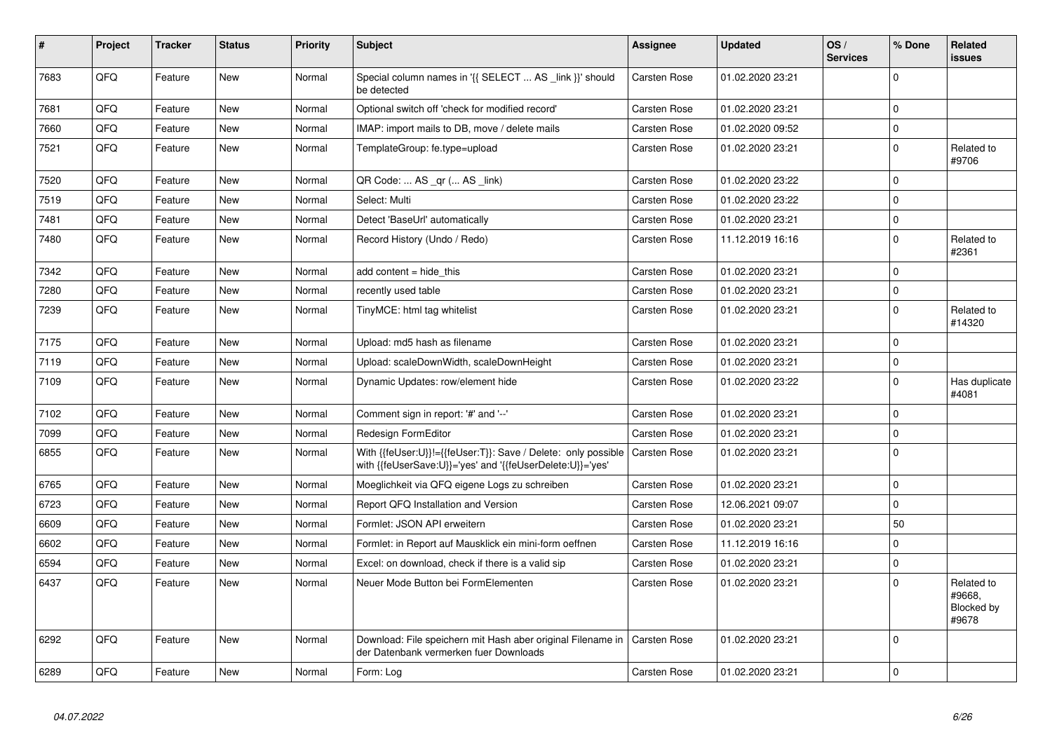| #    | Project | <b>Tracker</b> | <b>Status</b> | <b>Priority</b> | <b>Subject</b>                                                                                                             | <b>Assignee</b>     | <b>Updated</b>   | OS/<br><b>Services</b> | % Done         | Related<br><b>issues</b>                    |
|------|---------|----------------|---------------|-----------------|----------------------------------------------------------------------------------------------------------------------------|---------------------|------------------|------------------------|----------------|---------------------------------------------|
| 7683 | QFQ     | Feature        | <b>New</b>    | Normal          | Special column names in '{{ SELECT  AS _link }}' should<br>be detected                                                     | <b>Carsten Rose</b> | 01.02.2020 23:21 |                        | $\Omega$       |                                             |
| 7681 | QFQ     | Feature        | <b>New</b>    | Normal          | Optional switch off 'check for modified record'                                                                            | <b>Carsten Rose</b> | 01.02.2020 23:21 |                        | $\mathbf 0$    |                                             |
| 7660 | QFQ     | Feature        | <b>New</b>    | Normal          | IMAP: import mails to DB, move / delete mails                                                                              | Carsten Rose        | 01.02.2020 09:52 |                        | $\mathbf 0$    |                                             |
| 7521 | QFQ     | Feature        | New           | Normal          | TemplateGroup: fe.type=upload                                                                                              | <b>Carsten Rose</b> | 01.02.2020 23:21 |                        | $\Omega$       | Related to<br>#9706                         |
| 7520 | QFQ     | Feature        | <b>New</b>    | Normal          | QR Code:  AS _qr ( AS _link)                                                                                               | Carsten Rose        | 01.02.2020 23:22 |                        | $\Omega$       |                                             |
| 7519 | QFQ     | Feature        | New           | Normal          | Select: Multi                                                                                                              | <b>Carsten Rose</b> | 01.02.2020 23:22 |                        | $\Omega$       |                                             |
| 7481 | QFQ     | Feature        | <b>New</b>    | Normal          | Detect 'BaseUrl' automatically                                                                                             | Carsten Rose        | 01.02.2020 23:21 |                        | $\mathbf 0$    |                                             |
| 7480 | QFQ     | Feature        | New           | Normal          | Record History (Undo / Redo)                                                                                               | <b>Carsten Rose</b> | 11.12.2019 16:16 |                        | $\Omega$       | Related to<br>#2361                         |
| 7342 | QFQ     | Feature        | <b>New</b>    | Normal          | add content = hide this                                                                                                    | <b>Carsten Rose</b> | 01.02.2020 23:21 |                        | $\Omega$       |                                             |
| 7280 | QFQ     | Feature        | <b>New</b>    | Normal          | recently used table                                                                                                        | <b>Carsten Rose</b> | 01.02.2020 23:21 |                        | $\mathbf 0$    |                                             |
| 7239 | QFQ     | Feature        | New           | Normal          | TinyMCE: html tag whitelist                                                                                                | <b>Carsten Rose</b> | 01.02.2020 23:21 |                        | $\Omega$       | Related to<br>#14320                        |
| 7175 | QFQ     | Feature        | <b>New</b>    | Normal          | Upload: md5 hash as filename                                                                                               | <b>Carsten Rose</b> | 01.02.2020 23:21 |                        | $\Omega$       |                                             |
| 7119 | QFQ     | Feature        | <b>New</b>    | Normal          | Upload: scaleDownWidth, scaleDownHeight                                                                                    | Carsten Rose        | 01.02.2020 23:21 |                        | $\mathbf 0$    |                                             |
| 7109 | QFQ     | Feature        | <b>New</b>    | Normal          | Dynamic Updates: row/element hide                                                                                          | Carsten Rose        | 01.02.2020 23:22 |                        | $\Omega$       | Has duplicate<br>#4081                      |
| 7102 | QFQ     | Feature        | <b>New</b>    | Normal          | Comment sign in report: '#' and '--'                                                                                       | <b>Carsten Rose</b> | 01.02.2020 23:21 |                        | $\Omega$       |                                             |
| 7099 | QFQ     | Feature        | New           | Normal          | Redesign FormEditor                                                                                                        | Carsten Rose        | 01.02.2020 23:21 |                        | $\overline{0}$ |                                             |
| 6855 | QFQ     | Feature        | <b>New</b>    | Normal          | With {{feUser:U}}!={{feUser:T}}: Save / Delete: only possible<br>with {{feUserSave:U}}='yes' and '{{feUserDelete:U}}='yes' | <b>Carsten Rose</b> | 01.02.2020 23:21 |                        | $\Omega$       |                                             |
| 6765 | QFQ     | Feature        | <b>New</b>    | Normal          | Moeglichkeit via QFQ eigene Logs zu schreiben                                                                              | Carsten Rose        | 01.02.2020 23:21 |                        | $\mathbf 0$    |                                             |
| 6723 | QFQ     | Feature        | <b>New</b>    | Normal          | Report QFQ Installation and Version                                                                                        | Carsten Rose        | 12.06.2021 09:07 |                        | $\Omega$       |                                             |
| 6609 | QFQ     | Feature        | <b>New</b>    | Normal          | Formlet: JSON API erweitern                                                                                                | <b>Carsten Rose</b> | 01.02.2020 23:21 |                        | 50             |                                             |
| 6602 | QFQ     | Feature        | <b>New</b>    | Normal          | Formlet: in Report auf Mausklick ein mini-form oeffnen                                                                     | Carsten Rose        | 11.12.2019 16:16 |                        | $\Omega$       |                                             |
| 6594 | QFQ     | Feature        | New           | Normal          | Excel: on download, check if there is a valid sip                                                                          | <b>Carsten Rose</b> | 01.02.2020 23:21 |                        | $\Omega$       |                                             |
| 6437 | QFQ     | Feature        | New           | Normal          | Neuer Mode Button bei FormElementen                                                                                        | Carsten Rose        | 01.02.2020 23:21 |                        | $\Omega$       | Related to<br>#9668,<br>Blocked by<br>#9678 |
| 6292 | QFQ     | Feature        | New           | Normal          | Download: File speichern mit Hash aber original Filename in<br>der Datenbank vermerken fuer Downloads                      | <b>Carsten Rose</b> | 01.02.2020 23:21 |                        | $\mathbf 0$    |                                             |
| 6289 | QFQ     | Feature        | New           | Normal          | Form: Log                                                                                                                  | <b>Carsten Rose</b> | 01.02.2020 23:21 |                        | $\mathbf 0$    |                                             |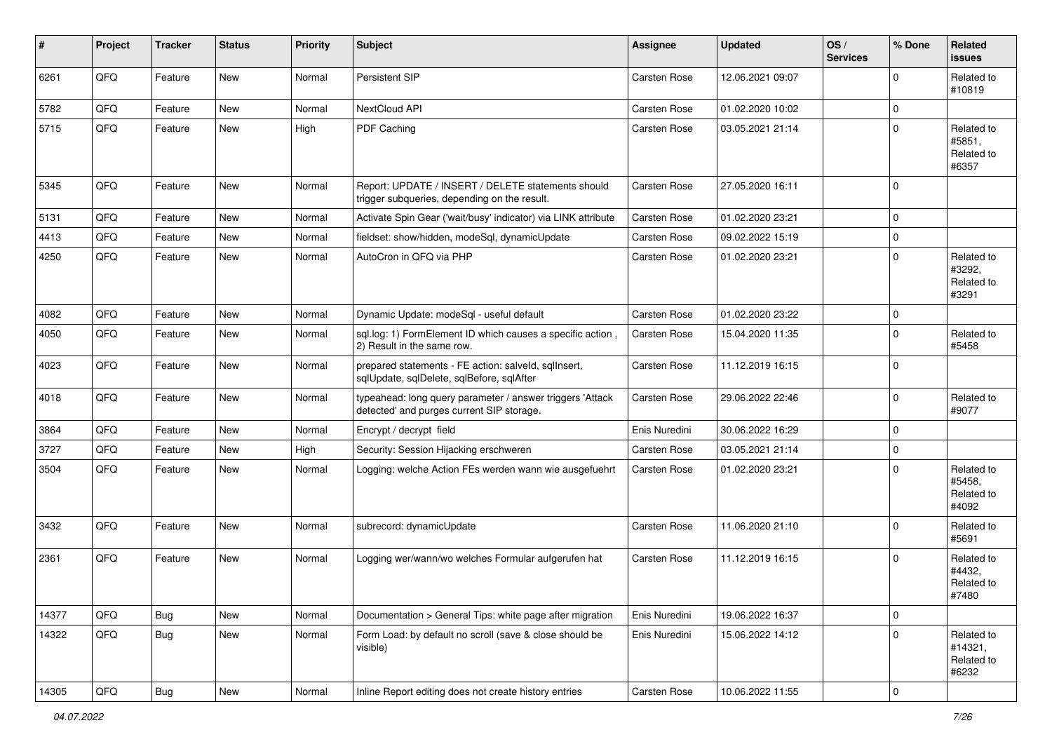| #     | Project | <b>Tracker</b> | <b>Status</b> | <b>Priority</b> | Subject                                                                                                | <b>Assignee</b>     | <b>Updated</b>   | OS/<br><b>Services</b> | % Done                  | Related<br><b>issues</b>                     |
|-------|---------|----------------|---------------|-----------------|--------------------------------------------------------------------------------------------------------|---------------------|------------------|------------------------|-------------------------|----------------------------------------------|
| 6261  | QFQ     | Feature        | New           | Normal          | Persistent SIP                                                                                         | Carsten Rose        | 12.06.2021 09:07 |                        | $\mathbf{0}$            | Related to<br>#10819                         |
| 5782  | QFQ     | Feature        | New           | Normal          | NextCloud API                                                                                          | <b>Carsten Rose</b> | 01.02.2020 10:02 |                        | $\mathbf 0$             |                                              |
| 5715  | QFQ     | Feature        | New           | High            | PDF Caching                                                                                            | <b>Carsten Rose</b> | 03.05.2021 21:14 |                        | $\mathbf 0$             | Related to<br>#5851,<br>Related to<br>#6357  |
| 5345  | QFQ     | Feature        | New           | Normal          | Report: UPDATE / INSERT / DELETE statements should<br>trigger subqueries, depending on the result.     | Carsten Rose        | 27.05.2020 16:11 |                        | $\mathbf{0}$            |                                              |
| 5131  | QFQ     | Feature        | New           | Normal          | Activate Spin Gear ('wait/busy' indicator) via LINK attribute                                          | <b>Carsten Rose</b> | 01.02.2020 23:21 |                        | $\mathbf 0$             |                                              |
| 4413  | QFQ     | Feature        | New           | Normal          | fieldset: show/hidden, modeSql, dynamicUpdate                                                          | Carsten Rose        | 09.02.2022 15:19 |                        | $\mathbf 0$             |                                              |
| 4250  | QFQ     | Feature        | New           | Normal          | AutoCron in QFQ via PHP                                                                                | Carsten Rose        | 01.02.2020 23:21 |                        | $\mathbf 0$             | Related to<br>#3292.<br>Related to<br>#3291  |
| 4082  | QFQ     | Feature        | New           | Normal          | Dynamic Update: modeSql - useful default                                                               | <b>Carsten Rose</b> | 01.02.2020 23:22 |                        | $\mathbf 0$             |                                              |
| 4050  | QFQ     | Feature        | New           | Normal          | sql.log: 1) FormElement ID which causes a specific action,<br>2) Result in the same row.               | <b>Carsten Rose</b> | 15.04.2020 11:35 |                        | $\mathbf 0$             | Related to<br>#5458                          |
| 4023  | QFQ     | Feature        | New           | Normal          | prepared statements - FE action: salveld, sqlInsert,<br>sqlUpdate, sqlDelete, sqlBefore, sqlAfter      | Carsten Rose        | 11.12.2019 16:15 |                        | $\mathbf 0$             |                                              |
| 4018  | QFQ     | Feature        | New           | Normal          | typeahead: long query parameter / answer triggers 'Attack<br>detected' and purges current SIP storage. | Carsten Rose        | 29.06.2022 22:46 |                        | $\mathbf 0$             | Related to<br>#9077                          |
| 3864  | QFQ     | Feature        | New           | Normal          | Encrypt / decrypt field                                                                                | Enis Nuredini       | 30.06.2022 16:29 |                        | $\mathbf 0$             |                                              |
| 3727  | QFQ     | Feature        | New           | High            | Security: Session Hijacking erschweren                                                                 | <b>Carsten Rose</b> | 03.05.2021 21:14 |                        | $\mathbf 0$             |                                              |
| 3504  | QFQ     | Feature        | New           | Normal          | Logging: welche Action FEs werden wann wie ausgefuehrt                                                 | <b>Carsten Rose</b> | 01.02.2020 23:21 |                        | $\mathbf 0$             | Related to<br>#5458,<br>Related to<br>#4092  |
| 3432  | QFQ     | Feature        | <b>New</b>    | Normal          | subrecord: dynamicUpdate                                                                               | <b>Carsten Rose</b> | 11.06.2020 21:10 |                        | $\mathbf 0$             | Related to<br>#5691                          |
| 2361  | QFQ     | Feature        | New           | Normal          | Logging wer/wann/wo welches Formular aufgerufen hat                                                    | Carsten Rose        | 11.12.2019 16:15 |                        | $\mathbf 0$             | Related to<br>#4432,<br>Related to<br>#7480  |
| 14377 | QFQ     | Bug            | New           | Normal          | Documentation > General Tips: white page after migration                                               | Enis Nuredini       | 19.06.2022 16:37 |                        | 0                       |                                              |
| 14322 | QFQ     | Bug            | New           | Normal          | Form Load: by default no scroll (save & close should be<br>visible)                                    | Enis Nuredini       | 15.06.2022 14:12 |                        | $\mathsf{O}\xspace$     | Related to<br>#14321,<br>Related to<br>#6232 |
| 14305 | QFQ     | <b>Bug</b>     | New           | Normal          | Inline Report editing does not create history entries                                                  | Carsten Rose        | 10.06.2022 11:55 |                        | $\overline{\mathbf{0}}$ |                                              |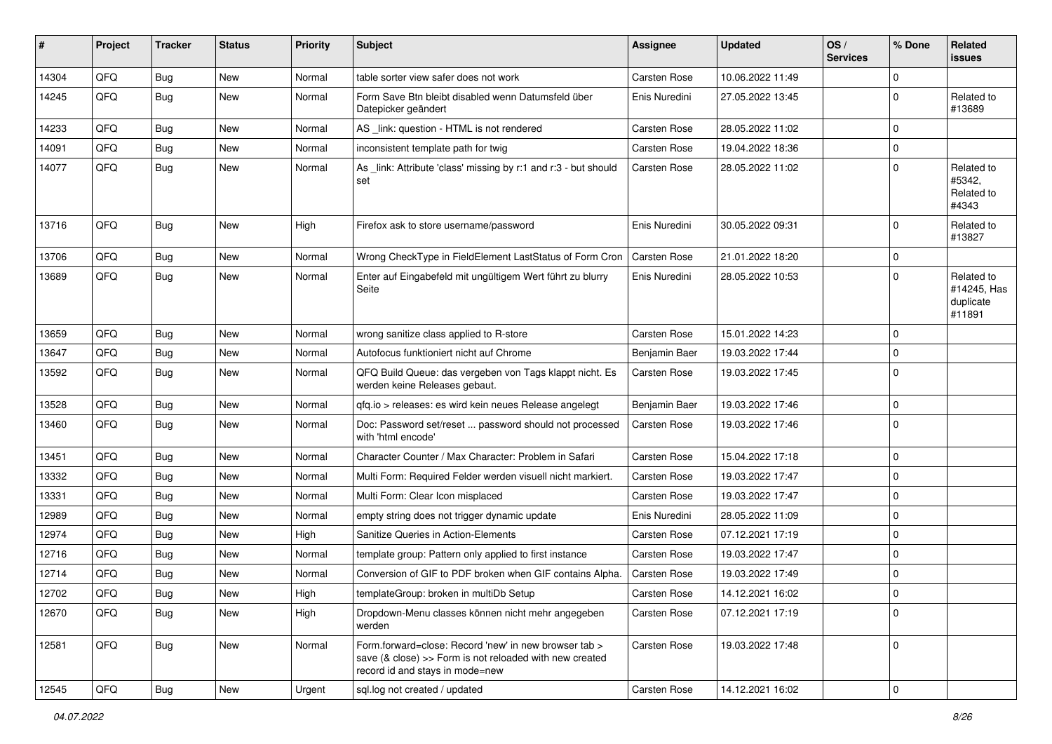| #     | Project | <b>Tracker</b> | <b>Status</b> | <b>Priority</b> | Subject                                                                                                                                             | <b>Assignee</b>     | <b>Updated</b>   | OS/<br><b>Services</b> | % Done      | <b>Related</b><br><b>issues</b>                  |
|-------|---------|----------------|---------------|-----------------|-----------------------------------------------------------------------------------------------------------------------------------------------------|---------------------|------------------|------------------------|-------------|--------------------------------------------------|
| 14304 | QFQ     | Bug            | <b>New</b>    | Normal          | table sorter view safer does not work                                                                                                               | <b>Carsten Rose</b> | 10.06.2022 11:49 |                        | $\mathbf 0$ |                                                  |
| 14245 | QFQ     | <b>Bug</b>     | New           | Normal          | Form Save Btn bleibt disabled wenn Datumsfeld über<br>Datepicker geändert                                                                           | Enis Nuredini       | 27.05.2022 13:45 |                        | $\mathbf 0$ | Related to<br>#13689                             |
| 14233 | QFQ     | <b>Bug</b>     | New           | Normal          | AS _link: question - HTML is not rendered                                                                                                           | Carsten Rose        | 28.05.2022 11:02 |                        | 0           |                                                  |
| 14091 | QFQ     | <b>Bug</b>     | <b>New</b>    | Normal          | inconsistent template path for twig                                                                                                                 | Carsten Rose        | 19.04.2022 18:36 |                        | $\mathbf 0$ |                                                  |
| 14077 | QFQ     | <b>Bug</b>     | New           | Normal          | As _link: Attribute 'class' missing by r:1 and r:3 - but should<br>set                                                                              | Carsten Rose        | 28.05.2022 11:02 |                        | $\mathbf 0$ | Related to<br>#5342.<br>Related to<br>#4343      |
| 13716 | QFQ     | Bug            | <b>New</b>    | High            | Firefox ask to store username/password                                                                                                              | Enis Nuredini       | 30.05.2022 09:31 |                        | $\mathbf 0$ | Related to<br>#13827                             |
| 13706 | QFQ     | <b>Bug</b>     | <b>New</b>    | Normal          | Wrong CheckType in FieldElement LastStatus of Form Cron                                                                                             | <b>Carsten Rose</b> | 21.01.2022 18:20 |                        | $\mathbf 0$ |                                                  |
| 13689 | QFQ     | <b>Bug</b>     | New           | Normal          | Enter auf Eingabefeld mit ungültigem Wert führt zu blurry<br>Seite                                                                                  | Enis Nuredini       | 28.05.2022 10:53 |                        | $\mathbf 0$ | Related to<br>#14245, Has<br>duplicate<br>#11891 |
| 13659 | QFQ     | <b>Bug</b>     | <b>New</b>    | Normal          | wrong sanitize class applied to R-store                                                                                                             | Carsten Rose        | 15.01.2022 14:23 |                        | $\mathbf 0$ |                                                  |
| 13647 | QFQ     | <b>Bug</b>     | New           | Normal          | Autofocus funktioniert nicht auf Chrome                                                                                                             | Benjamin Baer       | 19.03.2022 17:44 |                        | 0           |                                                  |
| 13592 | QFQ     | Bug            | New           | Normal          | QFQ Build Queue: das vergeben von Tags klappt nicht. Es<br>werden keine Releases gebaut.                                                            | Carsten Rose        | 19.03.2022 17:45 |                        | $\Omega$    |                                                  |
| 13528 | QFQ     | Bug            | <b>New</b>    | Normal          | qfq.io > releases: es wird kein neues Release angelegt                                                                                              | Benjamin Baer       | 19.03.2022 17:46 |                        | $\mathbf 0$ |                                                  |
| 13460 | QFQ     | Bug            | New           | Normal          | Doc: Password set/reset  password should not processed<br>with 'html encode'                                                                        | <b>Carsten Rose</b> | 19.03.2022 17:46 |                        | $\mathbf 0$ |                                                  |
| 13451 | QFQ     | <b>Bug</b>     | New           | Normal          | Character Counter / Max Character: Problem in Safari                                                                                                | Carsten Rose        | 15.04.2022 17:18 |                        | $\mathbf 0$ |                                                  |
| 13332 | QFQ     | <b>Bug</b>     | <b>New</b>    | Normal          | Multi Form: Required Felder werden visuell nicht markiert.                                                                                          | Carsten Rose        | 19.03.2022 17:47 |                        | $\mathbf 0$ |                                                  |
| 13331 | QFQ     | <b>Bug</b>     | New           | Normal          | Multi Form: Clear Icon misplaced                                                                                                                    | Carsten Rose        | 19.03.2022 17:47 |                        | 0           |                                                  |
| 12989 | QFQ     | <b>Bug</b>     | <b>New</b>    | Normal          | empty string does not trigger dynamic update                                                                                                        | Enis Nuredini       | 28.05.2022 11:09 |                        | $\mathbf 0$ |                                                  |
| 12974 | QFQ     | <b>Bug</b>     | <b>New</b>    | High            | Sanitize Queries in Action-Elements                                                                                                                 | Carsten Rose        | 07.12.2021 17:19 |                        | $\mathbf 0$ |                                                  |
| 12716 | QFQ     | <b>Bug</b>     | New           | Normal          | template group: Pattern only applied to first instance                                                                                              | Carsten Rose        | 19.03.2022 17:47 |                        | 0           |                                                  |
| 12714 | QFQ     | <b>Bug</b>     | New           | Normal          | Conversion of GIF to PDF broken when GIF contains Alpha.                                                                                            | Carsten Rose        | 19.03.2022 17:49 |                        | $\mathbf 0$ |                                                  |
| 12702 | QFQ     | Bug            | New           | High            | templateGroup: broken in multiDb Setup                                                                                                              | Carsten Rose        | 14.12.2021 16:02 |                        | $\mathbf 0$ |                                                  |
| 12670 | QFQ     | Bug            | New           | High            | Dropdown-Menu classes können nicht mehr angegeben<br>werden                                                                                         | Carsten Rose        | 07.12.2021 17:19 |                        | $\mathbf 0$ |                                                  |
| 12581 | QFQ     | <b>Bug</b>     | New           | Normal          | Form.forward=close: Record 'new' in new browser tab ><br>save (& close) >> Form is not reloaded with new created<br>record id and stays in mode=new | Carsten Rose        | 19.03.2022 17:48 |                        | $\mathbf 0$ |                                                  |
| 12545 | QFQ     | Bug            | New           | Urgent          | sql.log not created / updated                                                                                                                       | Carsten Rose        | 14.12.2021 16:02 |                        | 0           |                                                  |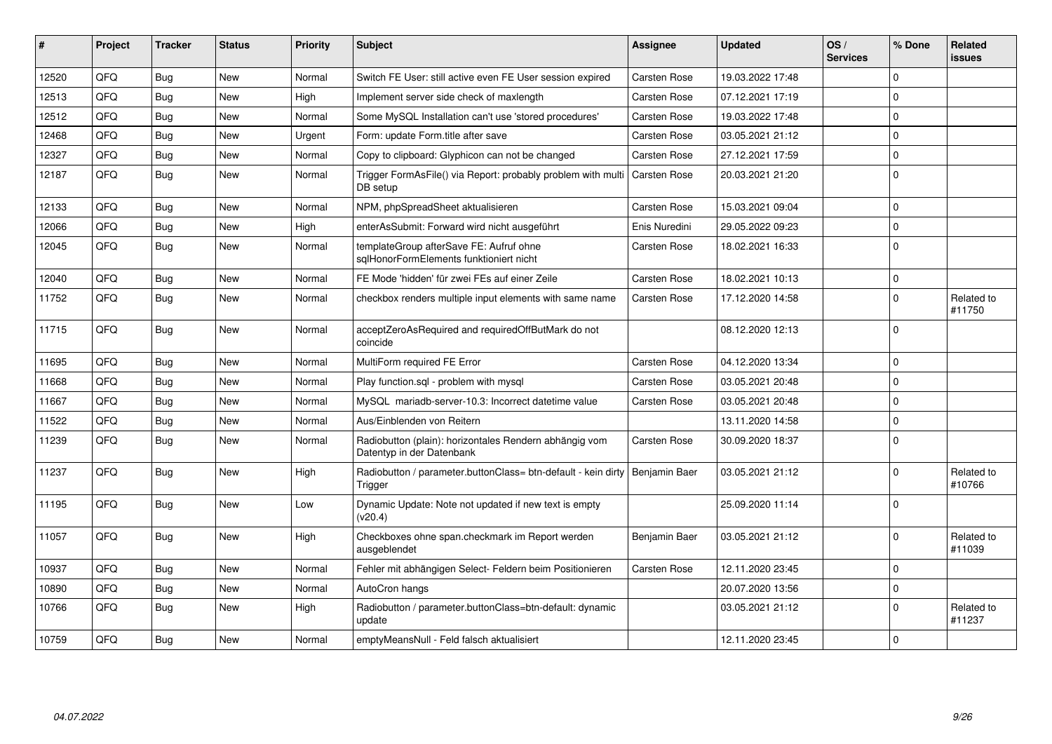| #     | Project | <b>Tracker</b> | <b>Status</b> | <b>Priority</b> | <b>Subject</b>                                                                      | <b>Assignee</b>     | <b>Updated</b>   | OS/<br><b>Services</b> | % Done       | Related<br><b>issues</b> |
|-------|---------|----------------|---------------|-----------------|-------------------------------------------------------------------------------------|---------------------|------------------|------------------------|--------------|--------------------------|
| 12520 | QFQ     | Bug            | <b>New</b>    | Normal          | Switch FE User: still active even FE User session expired                           | Carsten Rose        | 19.03.2022 17:48 |                        | <sup>0</sup> |                          |
| 12513 | OFQ     | Bug            | <b>New</b>    | High            | Implement server side check of maxlength                                            | <b>Carsten Rose</b> | 07.12.2021 17:19 |                        | $\Omega$     |                          |
| 12512 | QFQ     | Bug            | <b>New</b>    | Normal          | Some MySQL Installation can't use 'stored procedures'                               | <b>Carsten Rose</b> | 19.03.2022 17:48 |                        | 0            |                          |
| 12468 | QFQ     | Bug            | <b>New</b>    | Urgent          | Form: update Form.title after save                                                  | <b>Carsten Rose</b> | 03.05.2021 21:12 |                        | $\Omega$     |                          |
| 12327 | QFQ     | <b>Bug</b>     | <b>New</b>    | Normal          | Copy to clipboard: Glyphicon can not be changed                                     | Carsten Rose        | 27.12.2021 17:59 |                        | 0            |                          |
| 12187 | QFQ     | <b>Bug</b>     | <b>New</b>    | Normal          | Trigger FormAsFile() via Report: probably problem with multi<br>DB setup            | <b>Carsten Rose</b> | 20.03.2021 21:20 |                        | $\Omega$     |                          |
| 12133 | QFQ     | <b>Bug</b>     | <b>New</b>    | Normal          | NPM, phpSpreadSheet aktualisieren                                                   | Carsten Rose        | 15.03.2021 09:04 |                        | 0            |                          |
| 12066 | OFQ     | <b>Bug</b>     | <b>New</b>    | High            | enterAsSubmit: Forward wird nicht ausgeführt                                        | Enis Nuredini       | 29.05.2022 09:23 |                        | $\Omega$     |                          |
| 12045 | QFQ     | <b>Bug</b>     | <b>New</b>    | Normal          | templateGroup afterSave FE: Aufruf ohne<br>sqlHonorFormElements funktioniert nicht  | <b>Carsten Rose</b> | 18.02.2021 16:33 |                        | $\Omega$     |                          |
| 12040 | OFQ     | <b>Bug</b>     | <b>New</b>    | Normal          | FE Mode 'hidden' für zwei FEs auf einer Zeile                                       | Carsten Rose        | 18.02.2021 10:13 |                        | $\Omega$     |                          |
| 11752 | QFQ     | Bug            | <b>New</b>    | Normal          | checkbox renders multiple input elements with same name                             | Carsten Rose        | 17.12.2020 14:58 |                        | $\Omega$     | Related to<br>#11750     |
| 11715 | QFQ     | <b>Bug</b>     | <b>New</b>    | Normal          | acceptZeroAsRequired and requiredOffButMark do not<br>coincide                      |                     | 08.12.2020 12:13 |                        | $\Omega$     |                          |
| 11695 | QFQ     | Bug            | <b>New</b>    | Normal          | MultiForm required FE Error                                                         | Carsten Rose        | 04.12.2020 13:34 |                        | 0            |                          |
| 11668 | QFQ     | <b>Bug</b>     | <b>New</b>    | Normal          | Play function.sql - problem with mysql                                              | Carsten Rose        | 03.05.2021 20:48 |                        | $\Omega$     |                          |
| 11667 | QFQ     | Bug            | <b>New</b>    | Normal          | MySQL mariadb-server-10.3: Incorrect datetime value                                 | Carsten Rose        | 03.05.2021 20:48 |                        | $\Omega$     |                          |
| 11522 | QFQ     | <b>Bug</b>     | <b>New</b>    | Normal          | Aus/Einblenden von Reitern                                                          |                     | 13.11.2020 14:58 |                        | 0            |                          |
| 11239 | QFQ     | Bug            | <b>New</b>    | Normal          | Radiobutton (plain): horizontales Rendern abhängig vom<br>Datentyp in der Datenbank | Carsten Rose        | 30.09.2020 18:37 |                        | $\Omega$     |                          |
| 11237 | QFQ     | Bug            | <b>New</b>    | High            | Radiobutton / parameter.buttonClass= btn-default - kein dirty<br>Trigger            | Benjamin Baer       | 03.05.2021 21:12 |                        | $\Omega$     | Related to<br>#10766     |
| 11195 | QFQ     | Bug            | <b>New</b>    | Low             | Dynamic Update: Note not updated if new text is empty<br>(v20.4)                    |                     | 25.09.2020 11:14 |                        | $\Omega$     |                          |
| 11057 | QFQ     | Bug            | <b>New</b>    | High            | Checkboxes ohne span.checkmark im Report werden<br>ausgeblendet                     | Benjamin Baer       | 03.05.2021 21:12 |                        | <sup>0</sup> | Related to<br>#11039     |
| 10937 | QFQ     | <b>Bug</b>     | <b>New</b>    | Normal          | Fehler mit abhängigen Select- Feldern beim Positionieren                            | Carsten Rose        | 12.11.2020 23:45 |                        | $\Omega$     |                          |
| 10890 | QFQ     | Bug            | <b>New</b>    | Normal          | AutoCron hangs                                                                      |                     | 20.07.2020 13:56 |                        | $\Omega$     |                          |
| 10766 | QFQ     | Bug            | <b>New</b>    | High            | Radiobutton / parameter.buttonClass=btn-default: dynamic<br>update                  |                     | 03.05.2021 21:12 |                        | $\Omega$     | Related to<br>#11237     |
| 10759 | QFQ     | Bug            | <b>New</b>    | Normal          | emptyMeansNull - Feld falsch aktualisiert                                           |                     | 12.11.2020 23:45 |                        | $\mathbf 0$  |                          |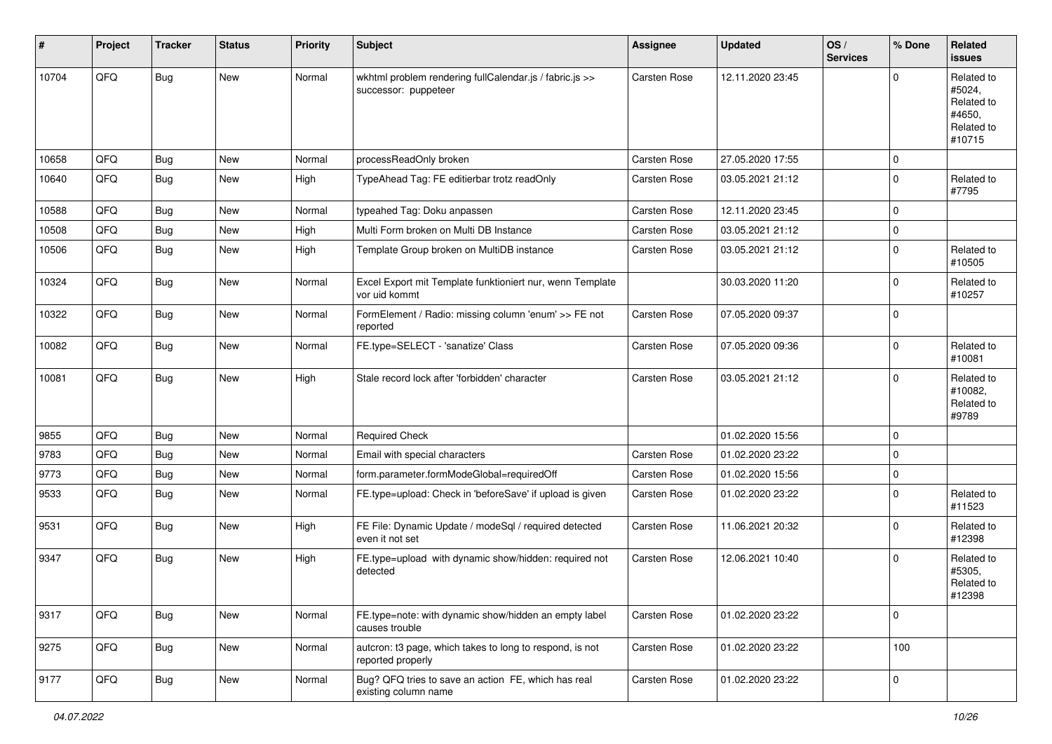| #     | Project | <b>Tracker</b> | <b>Status</b> | <b>Priority</b> | <b>Subject</b>                                                                  | Assignee            | <b>Updated</b>   | OS/<br><b>Services</b> | % Done              | Related<br><b>issues</b>                                             |
|-------|---------|----------------|---------------|-----------------|---------------------------------------------------------------------------------|---------------------|------------------|------------------------|---------------------|----------------------------------------------------------------------|
| 10704 | QFQ     | <b>Bug</b>     | New           | Normal          | wkhtml problem rendering fullCalendar.js / fabric.js >><br>successor: puppeteer | <b>Carsten Rose</b> | 12.11.2020 23:45 |                        | $\Omega$            | Related to<br>#5024,<br>Related to<br>#4650,<br>Related to<br>#10715 |
| 10658 | QFQ     | <b>Bug</b>     | <b>New</b>    | Normal          | processReadOnly broken                                                          | <b>Carsten Rose</b> | 27.05.2020 17:55 |                        | 0                   |                                                                      |
| 10640 | QFQ     | <b>Bug</b>     | New           | High            | TypeAhead Tag: FE editierbar trotz readOnly                                     | Carsten Rose        | 03.05.2021 21:12 |                        | $\mathbf{0}$        | Related to<br>#7795                                                  |
| 10588 | QFQ     | <b>Bug</b>     | New           | Normal          | typeahed Tag: Doku anpassen                                                     | <b>Carsten Rose</b> | 12.11.2020 23:45 |                        | $\mathbf 0$         |                                                                      |
| 10508 | QFQ     | <b>Bug</b>     | New           | High            | Multi Form broken on Multi DB Instance                                          | Carsten Rose        | 03.05.2021 21:12 |                        | $\mathbf{0}$        |                                                                      |
| 10506 | QFQ     | <b>Bug</b>     | New           | High            | Template Group broken on MultiDB instance                                       | Carsten Rose        | 03.05.2021 21:12 |                        | 0                   | Related to<br>#10505                                                 |
| 10324 | QFQ     | Bug            | New           | Normal          | Excel Export mit Template funktioniert nur, wenn Template<br>vor uid kommt      |                     | 30.03.2020 11:20 |                        | $\mathbf 0$         | Related to<br>#10257                                                 |
| 10322 | QFQ     | <b>Bug</b>     | New           | Normal          | FormElement / Radio: missing column 'enum' >> FE not<br>reported                | Carsten Rose        | 07.05.2020 09:37 |                        | $\mathbf{0}$        |                                                                      |
| 10082 | QFQ     | <b>Bug</b>     | New           | Normal          | FE.type=SELECT - 'sanatize' Class                                               | Carsten Rose        | 07.05.2020 09:36 |                        | 0                   | Related to<br>#10081                                                 |
| 10081 | QFQ     | <b>Bug</b>     | New           | High            | Stale record lock after 'forbidden' character                                   | <b>Carsten Rose</b> | 03.05.2021 21:12 |                        | 0                   | Related to<br>#10082,<br>Related to<br>#9789                         |
| 9855  | QFQ     | <b>Bug</b>     | New           | Normal          | <b>Required Check</b>                                                           |                     | 01.02.2020 15:56 |                        | $\mathbf 0$         |                                                                      |
| 9783  | QFQ     | <b>Bug</b>     | New           | Normal          | Email with special characters                                                   | Carsten Rose        | 01.02.2020 23:22 |                        | 0                   |                                                                      |
| 9773  | QFQ     | <b>Bug</b>     | New           | Normal          | form.parameter.formModeGlobal=requiredOff                                       | Carsten Rose        | 01.02.2020 15:56 |                        | 0                   |                                                                      |
| 9533  | QFQ     | Bug            | New           | Normal          | FE.type=upload: Check in 'beforeSave' if upload is given                        | Carsten Rose        | 01.02.2020 23:22 |                        | $\mathbf{0}$        | Related to<br>#11523                                                 |
| 9531  | QFQ     | <b>Bug</b>     | New           | High            | FE File: Dynamic Update / modeSql / required detected<br>even it not set        | Carsten Rose        | 11.06.2021 20:32 |                        | 0                   | Related to<br>#12398                                                 |
| 9347  | QFQ     | Bug            | New           | High            | FE.type=upload with dynamic show/hidden: required not<br>detected               | <b>Carsten Rose</b> | 12.06.2021 10:40 |                        | $\mathbf 0$         | Related to<br>#5305.<br>Related to<br>#12398                         |
| 9317  | QFQ     | <b>Bug</b>     | New           | Normal          | FE.type=note: with dynamic show/hidden an empty label<br>causes trouble         | Carsten Rose        | 01.02.2020 23:22 |                        | $\mathbf 0$         |                                                                      |
| 9275  | QFQ     | Bug            | New           | Normal          | autcron: t3 page, which takes to long to respond, is not<br>reported properly   | Carsten Rose        | 01.02.2020 23:22 |                        | 100                 |                                                                      |
| 9177  | QFQ     | Bug            | New           | Normal          | Bug? QFQ tries to save an action FE, which has real<br>existing column name     | Carsten Rose        | 01.02.2020 23:22 |                        | $\mathsf{O}\xspace$ |                                                                      |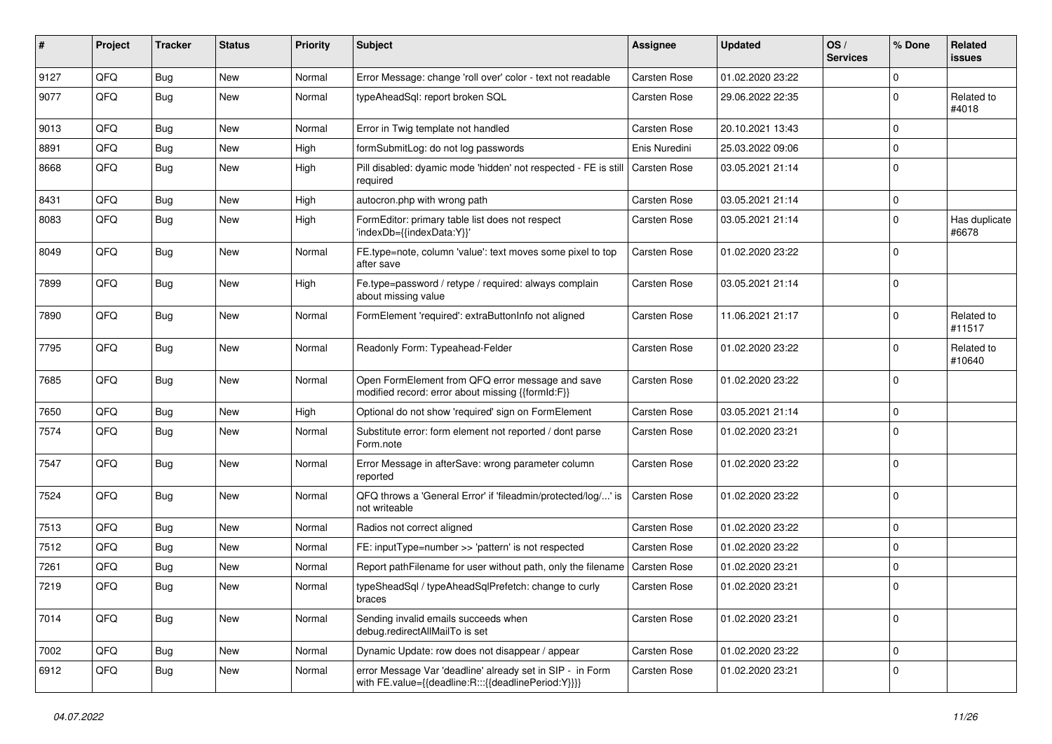| ∦    | Project | <b>Tracker</b> | <b>Status</b> | <b>Priority</b> | <b>Subject</b>                                                                                                   | <b>Assignee</b>     | <b>Updated</b>   | OS/<br><b>Services</b> | % Done      | Related<br><b>issues</b> |
|------|---------|----------------|---------------|-----------------|------------------------------------------------------------------------------------------------------------------|---------------------|------------------|------------------------|-------------|--------------------------|
| 9127 | QFQ     | <b>Bug</b>     | <b>New</b>    | Normal          | Error Message: change 'roll over' color - text not readable                                                      | Carsten Rose        | 01.02.2020 23:22 |                        | $\Omega$    |                          |
| 9077 | QFQ     | Bug            | New           | Normal          | typeAheadSql: report broken SQL                                                                                  | Carsten Rose        | 29.06.2022 22:35 |                        | $\mathbf 0$ | Related to<br>#4018      |
| 9013 | QFQ     | <b>Bug</b>     | New           | Normal          | Error in Twig template not handled                                                                               | <b>Carsten Rose</b> | 20.10.2021 13:43 |                        | $\mathbf 0$ |                          |
| 8891 | QFQ     | <b>Bug</b>     | New           | High            | formSubmitLog: do not log passwords                                                                              | Enis Nuredini       | 25.03.2022 09:06 |                        | $\mathbf 0$ |                          |
| 8668 | QFQ     | Bug            | New           | High            | Pill disabled: dyamic mode 'hidden' not respected - FE is still<br>required                                      | Carsten Rose        | 03.05.2021 21:14 |                        | $\mathbf 0$ |                          |
| 8431 | QFQ     | <b>Bug</b>     | <b>New</b>    | High            | autocron.php with wrong path                                                                                     | Carsten Rose        | 03.05.2021 21:14 |                        | $\mathbf 0$ |                          |
| 8083 | QFQ     | <b>Bug</b>     | New           | High            | FormEditor: primary table list does not respect<br>'indexDb={{indexData:Y}}'                                     | Carsten Rose        | 03.05.2021 21:14 |                        | $\mathbf 0$ | Has duplicate<br>#6678   |
| 8049 | QFQ     | Bug            | <b>New</b>    | Normal          | FE.type=note, column 'value': text moves some pixel to top<br>after save                                         | Carsten Rose        | 01.02.2020 23:22 |                        | $\mathbf 0$ |                          |
| 7899 | QFQ     | <b>Bug</b>     | <b>New</b>    | High            | Fe.type=password / retype / required: always complain<br>about missing value                                     | Carsten Rose        | 03.05.2021 21:14 |                        | $\mathbf 0$ |                          |
| 7890 | QFQ     | Bug            | New           | Normal          | FormElement 'required': extraButtonInfo not aligned                                                              | Carsten Rose        | 11.06.2021 21:17 |                        | $\mathbf 0$ | Related to<br>#11517     |
| 7795 | QFQ     | Bug            | <b>New</b>    | Normal          | Readonly Form: Typeahead-Felder                                                                                  | Carsten Rose        | 01.02.2020 23:22 |                        | $\mathbf 0$ | Related to<br>#10640     |
| 7685 | QFQ     | Bug            | <b>New</b>    | Normal          | Open FormElement from QFQ error message and save<br>modified record: error about missing {{formId:F}}            | Carsten Rose        | 01.02.2020 23:22 |                        | $\Omega$    |                          |
| 7650 | QFQ     | <b>Bug</b>     | New           | High            | Optional do not show 'required' sign on FormElement                                                              | Carsten Rose        | 03.05.2021 21:14 |                        | $\mathbf 0$ |                          |
| 7574 | QFQ     | Bug            | New           | Normal          | Substitute error: form element not reported / dont parse<br>Form.note                                            | Carsten Rose        | 01.02.2020 23:21 |                        | $\mathbf 0$ |                          |
| 7547 | QFQ     | Bug            | <b>New</b>    | Normal          | Error Message in afterSave: wrong parameter column<br>reported                                                   | Carsten Rose        | 01.02.2020 23:22 |                        | $\mathbf 0$ |                          |
| 7524 | QFQ     | Bug            | New           | Normal          | QFQ throws a 'General Error' if 'fileadmin/protected/log/' is<br>not writeable                                   | Carsten Rose        | 01.02.2020 23:22 |                        | $\mathbf 0$ |                          |
| 7513 | QFQ     | <b>Bug</b>     | <b>New</b>    | Normal          | Radios not correct aligned                                                                                       | Carsten Rose        | 01.02.2020 23:22 |                        | $\mathbf 0$ |                          |
| 7512 | QFQ     | <b>Bug</b>     | New           | Normal          | FE: inputType=number >> 'pattern' is not respected                                                               | <b>Carsten Rose</b> | 01.02.2020 23:22 |                        | 0           |                          |
| 7261 | QFQ     | <b>Bug</b>     | <b>New</b>    | Normal          | Report pathFilename for user without path, only the filename                                                     | <b>Carsten Rose</b> | 01.02.2020 23:21 |                        | $\mathbf 0$ |                          |
| 7219 | QFQ     | <b>Bug</b>     | New           | Normal          | typeSheadSql / typeAheadSqlPrefetch: change to curly<br>braces                                                   | Carsten Rose        | 01.02.2020 23:21 |                        | $\mathbf 0$ |                          |
| 7014 | QFQ     | Bug            | New           | Normal          | Sending invalid emails succeeds when<br>debug.redirectAllMailTo is set                                           | Carsten Rose        | 01.02.2020 23:21 |                        | $\mathbf 0$ |                          |
| 7002 | QFQ     | Bug            | New           | Normal          | Dynamic Update: row does not disappear / appear                                                                  | Carsten Rose        | 01.02.2020 23:22 |                        | $\mathbf 0$ |                          |
| 6912 | QFQ     | Bug            | New           | Normal          | error Message Var 'deadline' already set in SIP - in Form<br>with FE.value={{deadline:R:::{{deadlinePeriod:Y}}}} | Carsten Rose        | 01.02.2020 23:21 |                        | $\mathbf 0$ |                          |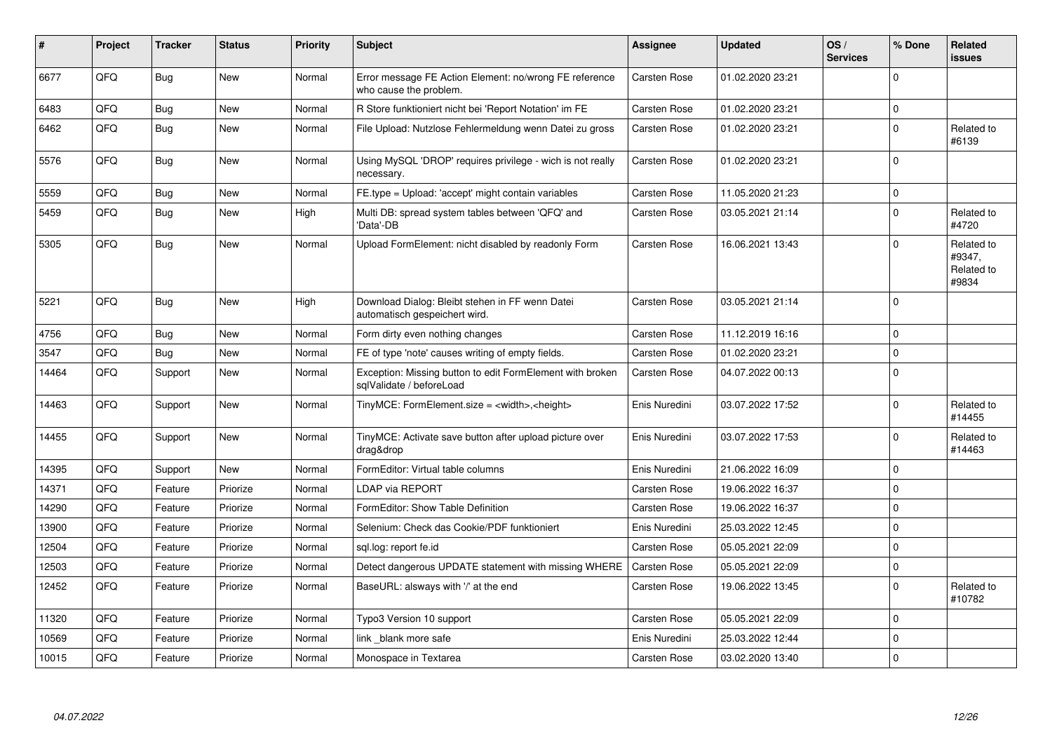| #     | Project | <b>Tracker</b> | <b>Status</b> | <b>Priority</b> | <b>Subject</b>                                                                        | Assignee            | <b>Updated</b>   | OS/<br><b>Services</b> | % Done      | Related<br><b>issues</b>                    |
|-------|---------|----------------|---------------|-----------------|---------------------------------------------------------------------------------------|---------------------|------------------|------------------------|-------------|---------------------------------------------|
| 6677  | QFQ     | <b>Bug</b>     | <b>New</b>    | Normal          | Error message FE Action Element: no/wrong FE reference<br>who cause the problem.      | Carsten Rose        | 01.02.2020 23:21 |                        | $\Omega$    |                                             |
| 6483  | QFQ     | <b>Bug</b>     | <b>New</b>    | Normal          | R Store funktioniert nicht bei 'Report Notation' im FE                                | <b>Carsten Rose</b> | 01.02.2020 23:21 |                        | $\mathbf 0$ |                                             |
| 6462  | QFQ     | <b>Bug</b>     | <b>New</b>    | Normal          | File Upload: Nutzlose Fehlermeldung wenn Datei zu gross                               | Carsten Rose        | 01.02.2020 23:21 |                        | $\Omega$    | Related to<br>#6139                         |
| 5576  | QFQ     | Bug            | <b>New</b>    | Normal          | Using MySQL 'DROP' requires privilege - wich is not really<br>necessary.              | <b>Carsten Rose</b> | 01.02.2020 23:21 |                        | $\Omega$    |                                             |
| 5559  | QFQ     | <b>Bug</b>     | <b>New</b>    | Normal          | FE.type = Upload: 'accept' might contain variables                                    | <b>Carsten Rose</b> | 11.05.2020 21:23 |                        | $\mathbf 0$ |                                             |
| 5459  | QFQ     | Bug            | <b>New</b>    | High            | Multi DB: spread system tables between 'QFQ' and<br>'Data'-DB                         | <b>Carsten Rose</b> | 03.05.2021 21:14 |                        | $\mathbf 0$ | Related to<br>#4720                         |
| 5305  | QFQ     | Bug            | <b>New</b>    | Normal          | Upload FormElement: nicht disabled by readonly Form                                   | <b>Carsten Rose</b> | 16.06.2021 13:43 |                        | $\Omega$    | Related to<br>#9347,<br>Related to<br>#9834 |
| 5221  | QFQ     | Bug            | <b>New</b>    | High            | Download Dialog: Bleibt stehen in FF wenn Datei<br>automatisch gespeichert wird.      | <b>Carsten Rose</b> | 03.05.2021 21:14 |                        | $\Omega$    |                                             |
| 4756  | QFQ     | Bug            | <b>New</b>    | Normal          | Form dirty even nothing changes                                                       | Carsten Rose        | 11.12.2019 16:16 |                        | $\mathbf 0$ |                                             |
| 3547  | QFQ     | <b>Bug</b>     | <b>New</b>    | Normal          | FE of type 'note' causes writing of empty fields.                                     | <b>Carsten Rose</b> | 01.02.2020 23:21 |                        | $\mathbf 0$ |                                             |
| 14464 | QFQ     | Support        | <b>New</b>    | Normal          | Exception: Missing button to edit FormElement with broken<br>sqlValidate / beforeLoad | Carsten Rose        | 04.07.2022 00:13 |                        | $\Omega$    |                                             |
| 14463 | QFQ     | Support        | <b>New</b>    | Normal          | TinyMCE: FormElement.size = <width>,<height></height></width>                         | Enis Nuredini       | 03.07.2022 17:52 |                        | $\Omega$    | Related to<br>#14455                        |
| 14455 | QFQ     | Support        | New           | Normal          | TinyMCE: Activate save button after upload picture over<br>drag&drop                  | Enis Nuredini       | 03.07.2022 17:53 |                        | $\mathbf 0$ | Related to<br>#14463                        |
| 14395 | QFQ     | Support        | <b>New</b>    | Normal          | FormEditor: Virtual table columns                                                     | Enis Nuredini       | 21.06.2022 16:09 |                        | $\Omega$    |                                             |
| 14371 | QFQ     | Feature        | Priorize      | Normal          | LDAP via REPORT                                                                       | <b>Carsten Rose</b> | 19.06.2022 16:37 |                        | $\mathbf 0$ |                                             |
| 14290 | QFQ     | Feature        | Priorize      | Normal          | FormEditor: Show Table Definition                                                     | <b>Carsten Rose</b> | 19.06.2022 16:37 |                        | $\mathbf 0$ |                                             |
| 13900 | QFQ     | Feature        | Priorize      | Normal          | Selenium: Check das Cookie/PDF funktioniert                                           | Enis Nuredini       | 25.03.2022 12:45 |                        | $\mathbf 0$ |                                             |
| 12504 | QFQ     | Feature        | Priorize      | Normal          | sql.log: report fe.id                                                                 | <b>Carsten Rose</b> | 05.05.2021 22:09 |                        | 0           |                                             |
| 12503 | QFQ     | Feature        | Priorize      | Normal          | Detect dangerous UPDATE statement with missing WHERE                                  | <b>Carsten Rose</b> | 05.05.2021 22:09 |                        | $\mathsf 0$ |                                             |
| 12452 | QFQ     | Feature        | Priorize      | Normal          | BaseURL: alsways with '/' at the end                                                  | <b>Carsten Rose</b> | 19.06.2022 13:45 |                        | $\Omega$    | Related to<br>#10782                        |
| 11320 | QFQ     | Feature        | Priorize      | Normal          | Typo3 Version 10 support                                                              | <b>Carsten Rose</b> | 05.05.2021 22:09 |                        | $\mathbf 0$ |                                             |
| 10569 | QFQ     | Feature        | Priorize      | Normal          | link blank more safe                                                                  | Enis Nuredini       | 25.03.2022 12:44 |                        | $\mathbf 0$ |                                             |
| 10015 | QFQ     | Feature        | Priorize      | Normal          | Monospace in Textarea                                                                 | Carsten Rose        | 03.02.2020 13:40 |                        | $\pmb{0}$   |                                             |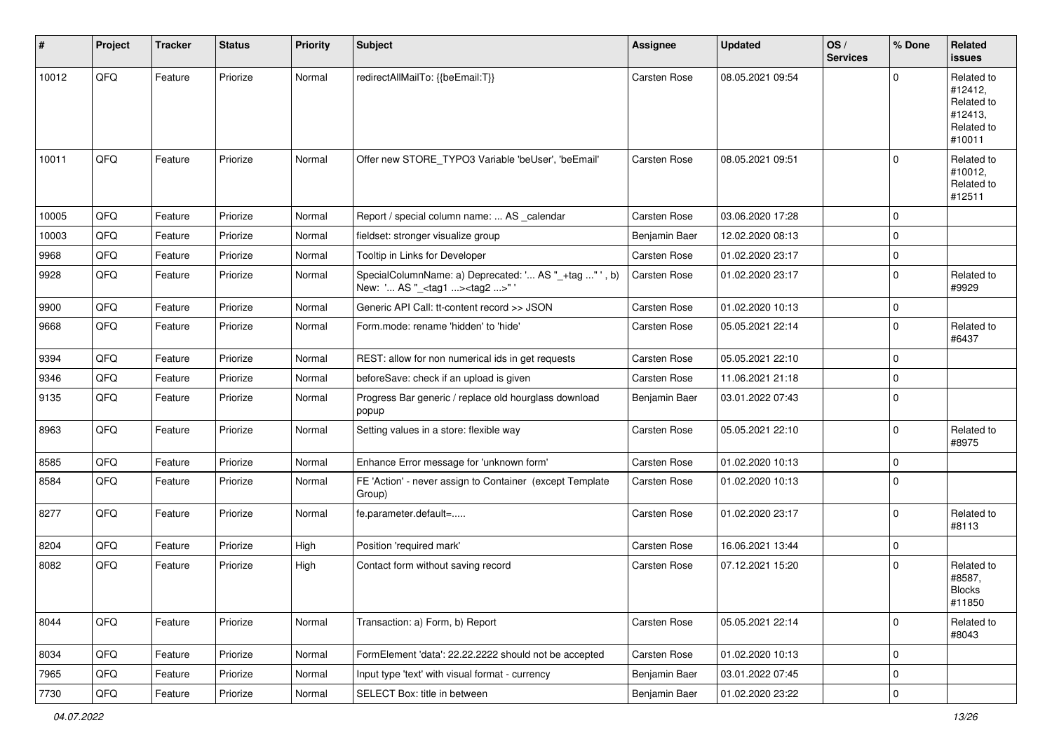| #     | Project | <b>Tracker</b> | <b>Status</b> | <b>Priority</b> | Subject                                                                                            | Assignee            | <b>Updated</b>   | OS/<br><b>Services</b> | % Done       | Related<br><b>issues</b>                                               |
|-------|---------|----------------|---------------|-----------------|----------------------------------------------------------------------------------------------------|---------------------|------------------|------------------------|--------------|------------------------------------------------------------------------|
| 10012 | QFQ     | Feature        | Priorize      | Normal          | redirectAllMailTo: {{beEmail:T}}                                                                   | Carsten Rose        | 08.05.2021 09:54 |                        | $\Omega$     | Related to<br>#12412,<br>Related to<br>#12413,<br>Related to<br>#10011 |
| 10011 | QFQ     | Feature        | Priorize      | Normal          | Offer new STORE_TYPO3 Variable 'beUser', 'beEmail'                                                 | <b>Carsten Rose</b> | 08.05.2021 09:51 |                        | $\mathbf{0}$ | Related to<br>#10012,<br>Related to<br>#12511                          |
| 10005 | QFQ     | Feature        | Priorize      | Normal          | Report / special column name:  AS _calendar                                                        | Carsten Rose        | 03.06.2020 17:28 |                        | $\mathbf 0$  |                                                                        |
| 10003 | QFQ     | Feature        | Priorize      | Normal          | fieldset: stronger visualize group                                                                 | Benjamin Baer       | 12.02.2020 08:13 |                        | $\mathbf 0$  |                                                                        |
| 9968  | QFQ     | Feature        | Priorize      | Normal          | Tooltip in Links for Developer                                                                     | <b>Carsten Rose</b> | 01.02.2020 23:17 |                        | $\mathbf 0$  |                                                                        |
| 9928  | QFQ     | Feature        | Priorize      | Normal          | SpecialColumnName: a) Deprecated: ' AS "_+tag " ', b)<br>New: ' AS "_ <tag1><tag2>"'</tag2></tag1> | Carsten Rose        | 01.02.2020 23:17 |                        | $\mathbf 0$  | Related to<br>#9929                                                    |
| 9900  | QFQ     | Feature        | Priorize      | Normal          | Generic API Call: tt-content record >> JSON                                                        | <b>Carsten Rose</b> | 01.02.2020 10:13 |                        | $\mathbf 0$  |                                                                        |
| 9668  | QFQ     | Feature        | Priorize      | Normal          | Form.mode: rename 'hidden' to 'hide'                                                               | Carsten Rose        | 05.05.2021 22:14 |                        | $\mathbf 0$  | Related to<br>#6437                                                    |
| 9394  | QFQ     | Feature        | Priorize      | Normal          | REST: allow for non numerical ids in get requests                                                  | Carsten Rose        | 05.05.2021 22:10 |                        | $\mathbf 0$  |                                                                        |
| 9346  | QFQ     | Feature        | Priorize      | Normal          | beforeSave: check if an upload is given                                                            | <b>Carsten Rose</b> | 11.06.2021 21:18 |                        | $\mathbf 0$  |                                                                        |
| 9135  | QFQ     | Feature        | Priorize      | Normal          | Progress Bar generic / replace old hourglass download<br>popup                                     | Benjamin Baer       | 03.01.2022 07:43 |                        | $\mathbf 0$  |                                                                        |
| 8963  | QFQ     | Feature        | Priorize      | Normal          | Setting values in a store: flexible way                                                            | Carsten Rose        | 05.05.2021 22:10 |                        | $\mathbf 0$  | Related to<br>#8975                                                    |
| 8585  | QFQ     | Feature        | Priorize      | Normal          | Enhance Error message for 'unknown form'                                                           | Carsten Rose        | 01.02.2020 10:13 |                        | $\mathbf 0$  |                                                                        |
| 8584  | QFQ     | Feature        | Priorize      | Normal          | FE 'Action' - never assign to Container (except Template<br>Group)                                 | Carsten Rose        | 01.02.2020 10:13 |                        | 0            |                                                                        |
| 8277  | QFQ     | Feature        | Priorize      | Normal          | fe.parameter.default=                                                                              | Carsten Rose        | 01.02.2020 23:17 |                        | $\mathbf 0$  | Related to<br>#8113                                                    |
| 8204  | QFQ     | Feature        | Priorize      | High            | Position 'required mark'                                                                           | Carsten Rose        | 16.06.2021 13:44 |                        | $\mathbf 0$  |                                                                        |
| 8082  | QFQ     | Feature        | Priorize      | High            | Contact form without saving record                                                                 | <b>Carsten Rose</b> | 07.12.2021 15:20 |                        | $\mathbf 0$  | Related to<br>#8587,<br><b>Blocks</b><br>#11850                        |
| 8044  | QFQ     | Feature        | Priorize      | Normal          | Transaction: a) Form, b) Report                                                                    | Carsten Rose        | 05.05.2021 22:14 |                        | $\mathbf 0$  | Related to<br>#8043                                                    |
| 8034  | QFQ     | Feature        | Priorize      | Normal          | FormElement 'data': 22.22.2222 should not be accepted                                              | Carsten Rose        | 01.02.2020 10:13 |                        | $\mathbf 0$  |                                                                        |
| 7965  | QFQ     | Feature        | Priorize      | Normal          | Input type 'text' with visual format - currency                                                    | Benjamin Baer       | 03.01.2022 07:45 |                        | $\mathbf 0$  |                                                                        |
| 7730  | QFQ     | Feature        | Priorize      | Normal          | SELECT Box: title in between                                                                       | Benjamin Baer       | 01.02.2020 23:22 |                        | $\pmb{0}$    |                                                                        |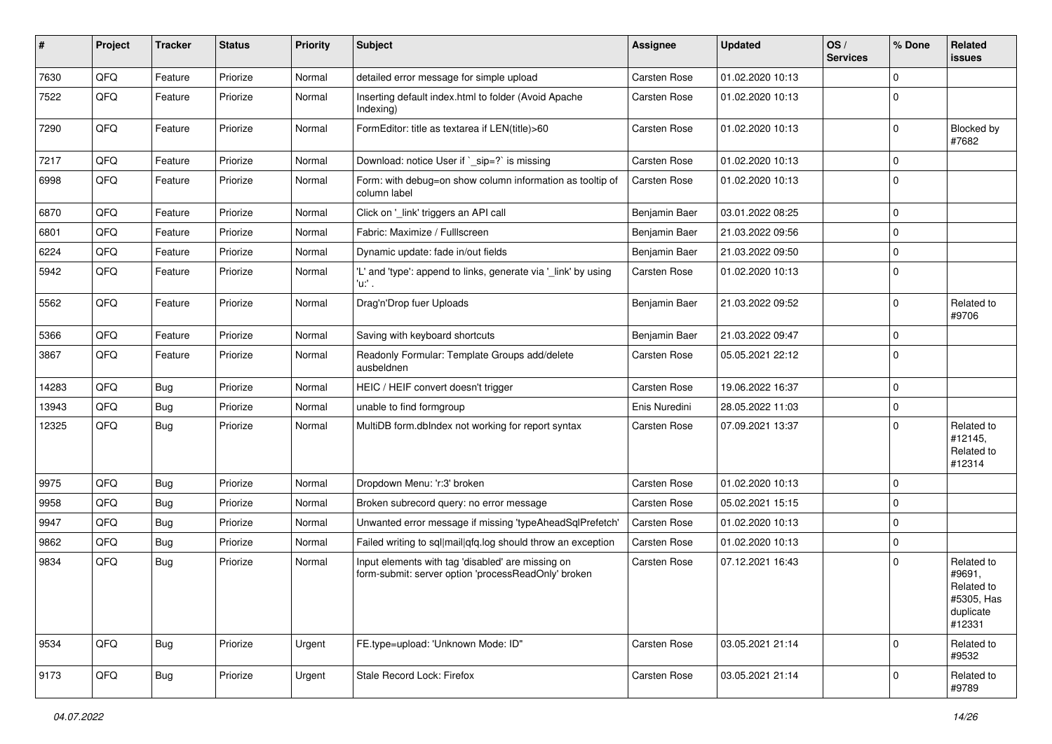| ∦     | Project | <b>Tracker</b> | <b>Status</b> | <b>Priority</b> | Subject                                                                                                  | <b>Assignee</b>     | <b>Updated</b>   | OS/<br><b>Services</b> | % Done      | Related<br><b>issues</b>                                                |
|-------|---------|----------------|---------------|-----------------|----------------------------------------------------------------------------------------------------------|---------------------|------------------|------------------------|-------------|-------------------------------------------------------------------------|
| 7630  | QFQ     | Feature        | Priorize      | Normal          | detailed error message for simple upload                                                                 | <b>Carsten Rose</b> | 01.02.2020 10:13 |                        | $\mathbf 0$ |                                                                         |
| 7522  | QFQ     | Feature        | Priorize      | Normal          | Inserting default index.html to folder (Avoid Apache<br>Indexing)                                        | Carsten Rose        | 01.02.2020 10:13 |                        | $\mathbf 0$ |                                                                         |
| 7290  | QFQ     | Feature        | Priorize      | Normal          | FormEditor: title as textarea if LEN(title)>60                                                           | Carsten Rose        | 01.02.2020 10:13 |                        | $\mathbf 0$ | <b>Blocked by</b><br>#7682                                              |
| 7217  | QFQ     | Feature        | Priorize      | Normal          | Download: notice User if `_sip=?` is missing                                                             | <b>Carsten Rose</b> | 01.02.2020 10:13 |                        | $\mathbf 0$ |                                                                         |
| 6998  | QFQ     | Feature        | Priorize      | Normal          | Form: with debug=on show column information as tooltip of<br>column label                                | <b>Carsten Rose</b> | 01.02.2020 10:13 |                        | $\mathbf 0$ |                                                                         |
| 6870  | QFQ     | Feature        | Priorize      | Normal          | Click on '_link' triggers an API call                                                                    | Benjamin Baer       | 03.01.2022 08:25 |                        | $\mathbf 0$ |                                                                         |
| 6801  | QFQ     | Feature        | Priorize      | Normal          | Fabric: Maximize / FullIscreen                                                                           | Benjamin Baer       | 21.03.2022 09:56 |                        | 0           |                                                                         |
| 6224  | QFQ     | Feature        | Priorize      | Normal          | Dynamic update: fade in/out fields                                                                       | Benjamin Baer       | 21.03.2022 09:50 |                        | $\mathbf 0$ |                                                                         |
| 5942  | QFQ     | Feature        | Priorize      | Normal          | 'L' and 'type': append to links, generate via '_link' by using<br>'u:' .                                 | Carsten Rose        | 01.02.2020 10:13 |                        | $\mathbf 0$ |                                                                         |
| 5562  | QFQ     | Feature        | Priorize      | Normal          | Drag'n'Drop fuer Uploads                                                                                 | Benjamin Baer       | 21.03.2022 09:52 |                        | $\mathbf 0$ | Related to<br>#9706                                                     |
| 5366  | QFQ     | Feature        | Priorize      | Normal          | Saving with keyboard shortcuts                                                                           | Benjamin Baer       | 21.03.2022 09:47 |                        | $\mathbf 0$ |                                                                         |
| 3867  | QFQ     | Feature        | Priorize      | Normal          | Readonly Formular: Template Groups add/delete<br>ausbeldnen                                              | Carsten Rose        | 05.05.2021 22:12 |                        | $\mathbf 0$ |                                                                         |
| 14283 | QFQ     | Bug            | Priorize      | Normal          | HEIC / HEIF convert doesn't trigger                                                                      | Carsten Rose        | 19.06.2022 16:37 |                        | $\mathbf 0$ |                                                                         |
| 13943 | QFQ     | <b>Bug</b>     | Priorize      | Normal          | unable to find formgroup                                                                                 | Enis Nuredini       | 28.05.2022 11:03 |                        | $\mathbf 0$ |                                                                         |
| 12325 | QFQ     | <b>Bug</b>     | Priorize      | Normal          | MultiDB form.dblndex not working for report syntax                                                       | Carsten Rose        | 07.09.2021 13:37 |                        | $\mathbf 0$ | Related to<br>#12145,<br>Related to<br>#12314                           |
| 9975  | QFQ     | <b>Bug</b>     | Priorize      | Normal          | Dropdown Menu: 'r:3' broken                                                                              | <b>Carsten Rose</b> | 01.02.2020 10:13 |                        | 0           |                                                                         |
| 9958  | QFQ     | <b>Bug</b>     | Priorize      | Normal          | Broken subrecord query: no error message                                                                 | <b>Carsten Rose</b> | 05.02.2021 15:15 |                        | $\mathbf 0$ |                                                                         |
| 9947  | QFQ     | <b>Bug</b>     | Priorize      | Normal          | Unwanted error message if missing 'typeAheadSqlPrefetch'                                                 | Carsten Rose        | 01.02.2020 10:13 |                        | $\mathbf 0$ |                                                                         |
| 9862  | QFQ     | Bug            | Priorize      | Normal          | Failed writing to sql mail qfq.log should throw an exception                                             | <b>Carsten Rose</b> | 01.02.2020 10:13 |                        | $\mathbf 0$ |                                                                         |
| 9834  | QFQ     | <b>Bug</b>     | Priorize      | Normal          | Input elements with tag 'disabled' are missing on<br>form-submit: server option 'processReadOnly' broken | Carsten Rose        | 07.12.2021 16:43 |                        | $\mathbf 0$ | Related to<br>#9691,<br>Related to<br>#5305, Has<br>duplicate<br>#12331 |
| 9534  | QFQ     | <b>Bug</b>     | Priorize      | Urgent          | FE.type=upload: 'Unknown Mode: ID"                                                                       | <b>Carsten Rose</b> | 03.05.2021 21:14 |                        | $\mathbf 0$ | Related to<br>#9532                                                     |
| 9173  | QFO     | <b>Bug</b>     | Priorize      | Urgent          | Stale Record Lock: Firefox                                                                               | <b>Carsten Rose</b> | 03.05.2021 21:14 |                        | $\mathbf 0$ | Related to<br>#9789                                                     |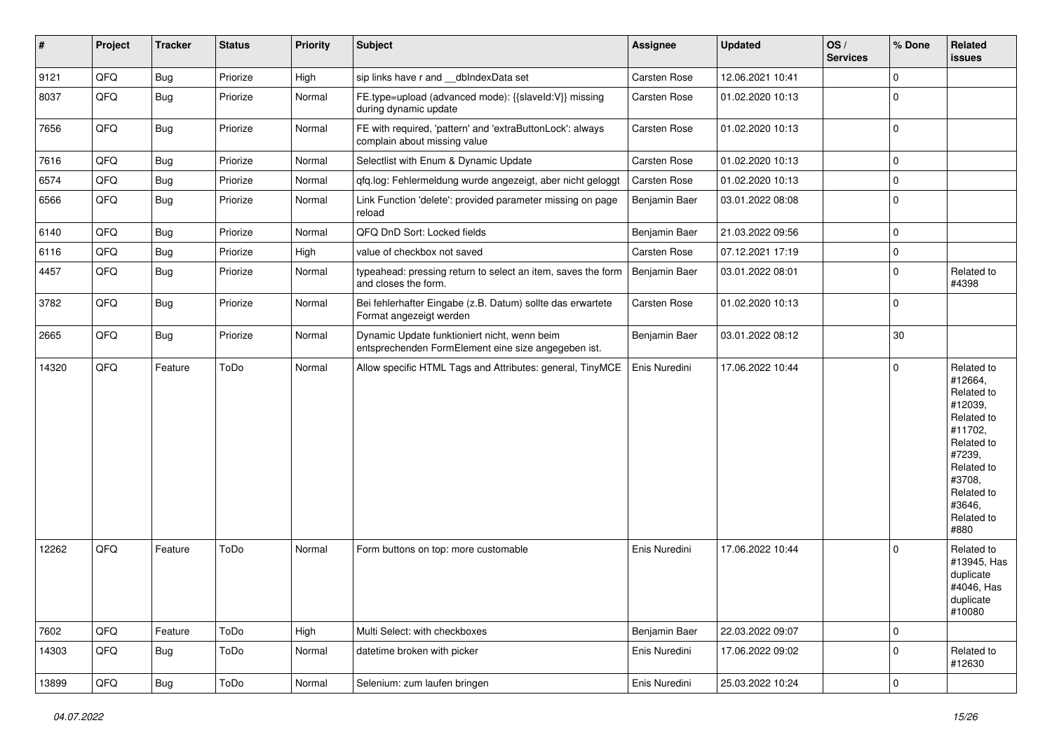| #     | Project | <b>Tracker</b> | <b>Status</b> | <b>Priority</b> | <b>Subject</b>                                                                                      | <b>Assignee</b> | <b>Updated</b>   | OS/<br><b>Services</b> | % Done                  | Related<br>issues                                                                                                                                                     |
|-------|---------|----------------|---------------|-----------------|-----------------------------------------------------------------------------------------------------|-----------------|------------------|------------------------|-------------------------|-----------------------------------------------------------------------------------------------------------------------------------------------------------------------|
| 9121  | QFQ     | <b>Bug</b>     | Priorize      | High            | sip links have r and __dbIndexData set                                                              | Carsten Rose    | 12.06.2021 10:41 |                        | $\mathbf 0$             |                                                                                                                                                                       |
| 8037  | QFQ     | <b>Bug</b>     | Priorize      | Normal          | FE.type=upload (advanced mode): {{slaveld:V}} missing<br>during dynamic update                      | Carsten Rose    | 01.02.2020 10:13 |                        | $\mathbf 0$             |                                                                                                                                                                       |
| 7656  | QFQ     | <b>Bug</b>     | Priorize      | Normal          | FE with required, 'pattern' and 'extraButtonLock': always<br>complain about missing value           | Carsten Rose    | 01.02.2020 10:13 |                        | $\mathbf 0$             |                                                                                                                                                                       |
| 7616  | QFQ     | <b>Bug</b>     | Priorize      | Normal          | Selectlist with Enum & Dynamic Update                                                               | Carsten Rose    | 01.02.2020 10:13 |                        | $\mathbf 0$             |                                                                                                                                                                       |
| 6574  | QFQ     | <b>Bug</b>     | Priorize      | Normal          | qfq.log: Fehlermeldung wurde angezeigt, aber nicht geloggt                                          | Carsten Rose    | 01.02.2020 10:13 |                        | $\mathbf 0$             |                                                                                                                                                                       |
| 6566  | QFG     | <b>Bug</b>     | Priorize      | Normal          | Link Function 'delete': provided parameter missing on page<br>reload                                | Benjamin Baer   | 03.01.2022 08:08 |                        | $\mathbf 0$             |                                                                                                                                                                       |
| 6140  | QFQ     | <b>Bug</b>     | Priorize      | Normal          | QFQ DnD Sort: Locked fields                                                                         | Benjamin Baer   | 21.03.2022 09:56 |                        | $\mathbf 0$             |                                                                                                                                                                       |
| 6116  | QFQ     | <b>Bug</b>     | Priorize      | High            | value of checkbox not saved                                                                         | Carsten Rose    | 07.12.2021 17:19 |                        | 0                       |                                                                                                                                                                       |
| 4457  | QFQ     | <b>Bug</b>     | Priorize      | Normal          | typeahead: pressing return to select an item, saves the form<br>and closes the form.                | Benjamin Baer   | 03.01.2022 08:01 |                        | $\mathbf 0$             | Related to<br>#4398                                                                                                                                                   |
| 3782  | QFQ     | Bug            | Priorize      | Normal          | Bei fehlerhafter Eingabe (z.B. Datum) sollte das erwartete<br>Format angezeigt werden               | Carsten Rose    | 01.02.2020 10:13 |                        | $\mathbf 0$             |                                                                                                                                                                       |
| 2665  | QFQ     | Bug            | Priorize      | Normal          | Dynamic Update funktioniert nicht, wenn beim<br>entsprechenden FormElement eine size angegeben ist. | Benjamin Baer   | 03.01.2022 08:12 |                        | 30                      |                                                                                                                                                                       |
| 14320 | QFQ     | Feature        | ToDo          | Normal          | Allow specific HTML Tags and Attributes: general, TinyMCE                                           | Enis Nuredini   | 17.06.2022 10:44 |                        | 0                       | Related to<br>#12664,<br>Related to<br>#12039,<br>Related to<br>#11702,<br>Related to<br>#7239,<br>Related to<br>#3708,<br>Related to<br>#3646,<br>Related to<br>#880 |
| 12262 | QFQ     | Feature        | ToDo          | Normal          | Form buttons on top: more customable                                                                | Enis Nuredini   | 17.06.2022 10:44 |                        | $\mathbf 0$             | Related to<br>#13945, Has<br>duplicate<br>#4046, Has<br>duplicate<br>#10080                                                                                           |
| 7602  | QFQ     | Feature        | ToDo          | High            | Multi Select: with checkboxes                                                                       | Benjamin Baer   | 22.03.2022 09:07 |                        | $\overline{0}$          |                                                                                                                                                                       |
| 14303 | QFQ     | <b>Bug</b>     | ToDo          | Normal          | datetime broken with picker                                                                         | Enis Nuredini   | 17.06.2022 09:02 |                        | $\mathsf{O}\xspace$     | Related to<br>#12630                                                                                                                                                  |
| 13899 | QFQ     | Bug            | ToDo          | Normal          | Selenium: zum laufen bringen                                                                        | Enis Nuredini   | 25.03.2022 10:24 |                        | $\overline{\mathbf{0}}$ |                                                                                                                                                                       |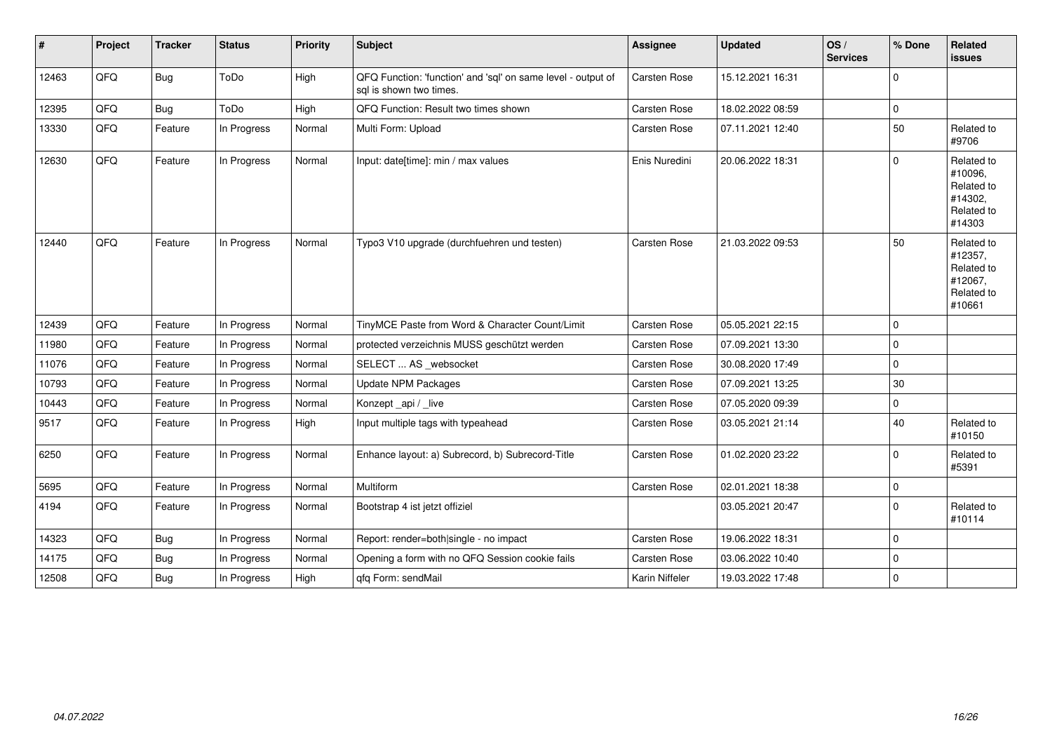| #     | Project | <b>Tracker</b> | <b>Status</b> | <b>Priority</b> | <b>Subject</b>                                                                          | <b>Assignee</b>     | <b>Updated</b>   | OS/<br><b>Services</b> | % Done      | Related<br>issues                                                      |
|-------|---------|----------------|---------------|-----------------|-----------------------------------------------------------------------------------------|---------------------|------------------|------------------------|-------------|------------------------------------------------------------------------|
| 12463 | QFQ     | <b>Bug</b>     | ToDo          | High            | QFQ Function: 'function' and 'sql' on same level - output of<br>sal is shown two times. | Carsten Rose        | 15.12.2021 16:31 |                        | $\mathbf 0$ |                                                                        |
| 12395 | QFQ     | <b>Bug</b>     | ToDo          | High            | QFQ Function: Result two times shown                                                    | Carsten Rose        | 18.02.2022 08:59 |                        | $\mathbf 0$ |                                                                        |
| 13330 | QFQ     | Feature        | In Progress   | Normal          | Multi Form: Upload                                                                      | <b>Carsten Rose</b> | 07.11.2021 12:40 |                        | 50          | Related to<br>#9706                                                    |
| 12630 | QFQ     | Feature        | In Progress   | Normal          | Input: date[time]: min / max values                                                     | Enis Nuredini       | 20.06.2022 18:31 |                        | $\Omega$    | Related to<br>#10096,<br>Related to<br>#14302,<br>Related to<br>#14303 |
| 12440 | QFQ     | Feature        | In Progress   | Normal          | Typo3 V10 upgrade (durchfuehren und testen)                                             | Carsten Rose        | 21.03.2022 09:53 |                        | 50          | Related to<br>#12357,<br>Related to<br>#12067,<br>Related to<br>#10661 |
| 12439 | QFQ     | Feature        | In Progress   | Normal          | TinyMCE Paste from Word & Character Count/Limit                                         | <b>Carsten Rose</b> | 05.05.2021 22:15 |                        | $\mathbf 0$ |                                                                        |
| 11980 | QFQ     | Feature        | In Progress   | Normal          | protected verzeichnis MUSS geschützt werden                                             | Carsten Rose        | 07.09.2021 13:30 |                        | 0           |                                                                        |
| 11076 | QFQ     | Feature        | In Progress   | Normal          | SELECT  AS _websocket                                                                   | Carsten Rose        | 30.08.2020 17:49 |                        | $\mathbf 0$ |                                                                        |
| 10793 | QFQ     | Feature        | In Progress   | Normal          | <b>Update NPM Packages</b>                                                              | Carsten Rose        | 07.09.2021 13:25 |                        | $30\,$      |                                                                        |
| 10443 | QFQ     | Feature        | In Progress   | Normal          | Konzept_api / _live                                                                     | Carsten Rose        | 07.05.2020 09:39 |                        | $\pmb{0}$   |                                                                        |
| 9517  | QFQ     | Feature        | In Progress   | High            | Input multiple tags with typeahead                                                      | Carsten Rose        | 03.05.2021 21:14 |                        | 40          | Related to<br>#10150                                                   |
| 6250  | QFQ     | Feature        | In Progress   | Normal          | Enhance layout: a) Subrecord, b) Subrecord-Title                                        | Carsten Rose        | 01.02.2020 23:22 |                        | $\Omega$    | Related to<br>#5391                                                    |
| 5695  | QFQ     | Feature        | In Progress   | Normal          | Multiform                                                                               | <b>Carsten Rose</b> | 02.01.2021 18:38 |                        | 0           |                                                                        |
| 4194  | QFQ     | Feature        | In Progress   | Normal          | Bootstrap 4 ist jetzt offiziel                                                          |                     | 03.05.2021 20:47 |                        | $\mathbf 0$ | Related to<br>#10114                                                   |
| 14323 | QFQ     | <b>Bug</b>     | In Progress   | Normal          | Report: render=both single - no impact                                                  | <b>Carsten Rose</b> | 19.06.2022 18:31 |                        | $\mathbf 0$ |                                                                        |
| 14175 | QFQ     | <b>Bug</b>     | In Progress   | Normal          | Opening a form with no QFQ Session cookie fails                                         | Carsten Rose        | 03.06.2022 10:40 |                        | 0           |                                                                        |
| 12508 | QFQ     | <b>Bug</b>     | In Progress   | High            | qfq Form: sendMail                                                                      | Karin Niffeler      | 19.03.2022 17:48 |                        | $\mathbf 0$ |                                                                        |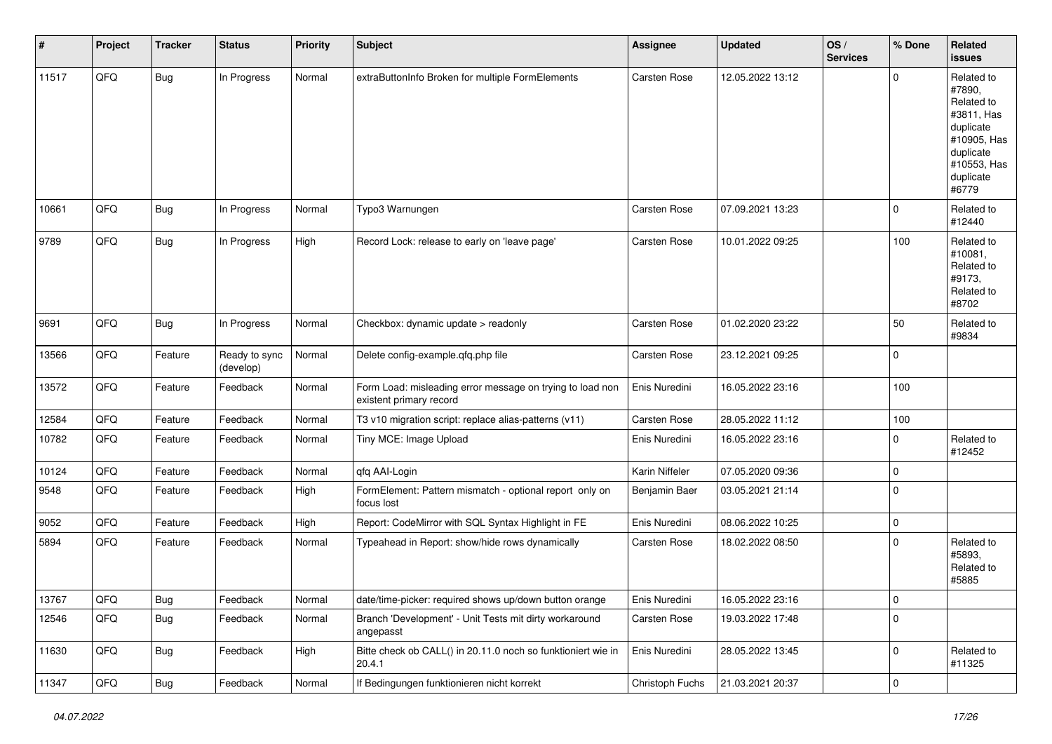| $\vert$ # | Project | <b>Tracker</b> | <b>Status</b>              | <b>Priority</b> | <b>Subject</b>                                                                       | Assignee            | <b>Updated</b>   | OS/<br><b>Services</b> | % Done      | Related<br><b>issues</b>                                                                                                       |
|-----------|---------|----------------|----------------------------|-----------------|--------------------------------------------------------------------------------------|---------------------|------------------|------------------------|-------------|--------------------------------------------------------------------------------------------------------------------------------|
| 11517     | QFQ     | <b>Bug</b>     | In Progress                | Normal          | extraButtonInfo Broken for multiple FormElements                                     | <b>Carsten Rose</b> | 12.05.2022 13:12 |                        | $\Omega$    | Related to<br>#7890,<br>Related to<br>#3811, Has<br>duplicate<br>#10905, Has<br>duplicate<br>#10553, Has<br>duplicate<br>#6779 |
| 10661     | QFQ     | <b>Bug</b>     | In Progress                | Normal          | Typo3 Warnungen                                                                      | Carsten Rose        | 07.09.2021 13:23 |                        | $\mathbf 0$ | Related to<br>#12440                                                                                                           |
| 9789      | QFQ     | <b>Bug</b>     | In Progress                | High            | Record Lock: release to early on 'leave page'                                        | Carsten Rose        | 10.01.2022 09:25 |                        | 100         | Related to<br>#10081,<br>Related to<br>#9173,<br>Related to<br>#8702                                                           |
| 9691      | QFQ     | <b>Bug</b>     | In Progress                | Normal          | Checkbox: dynamic update > readonly                                                  | Carsten Rose        | 01.02.2020 23:22 |                        | 50          | Related to<br>#9834                                                                                                            |
| 13566     | QFQ     | Feature        | Ready to sync<br>(develop) | Normal          | Delete config-example.qfq.php file                                                   | Carsten Rose        | 23.12.2021 09:25 |                        | $\mathbf 0$ |                                                                                                                                |
| 13572     | QFQ     | Feature        | Feedback                   | Normal          | Form Load: misleading error message on trying to load non<br>existent primary record | Enis Nuredini       | 16.05.2022 23:16 |                        | 100         |                                                                                                                                |
| 12584     | QFQ     | Feature        | Feedback                   | Normal          | T3 v10 migration script: replace alias-patterns (v11)                                | Carsten Rose        | 28.05.2022 11:12 |                        | 100         |                                                                                                                                |
| 10782     | QFQ     | Feature        | Feedback                   | Normal          | Tiny MCE: Image Upload                                                               | Enis Nuredini       | 16.05.2022 23:16 |                        | $\mathbf 0$ | Related to<br>#12452                                                                                                           |
| 10124     | QFQ     | Feature        | Feedback                   | Normal          | qfq AAI-Login                                                                        | Karin Niffeler      | 07.05.2020 09:36 |                        | 0           |                                                                                                                                |
| 9548      | QFQ     | Feature        | Feedback                   | High            | FormElement: Pattern mismatch - optional report only on<br>focus lost                | Benjamin Baer       | 03.05.2021 21:14 |                        | $\Omega$    |                                                                                                                                |
| 9052      | QFQ     | Feature        | Feedback                   | High            | Report: CodeMirror with SQL Syntax Highlight in FE                                   | Enis Nuredini       | 08.06.2022 10:25 |                        | 0           |                                                                                                                                |
| 5894      | QFQ     | Feature        | Feedback                   | Normal          | Typeahead in Report: show/hide rows dynamically                                      | Carsten Rose        | 18.02.2022 08:50 |                        | $\mathbf 0$ | Related to<br>#5893.<br>Related to<br>#5885                                                                                    |
| 13767     | QFQ     | <b>Bug</b>     | Feedback                   | Normal          | date/time-picker: required shows up/down button orange                               | Enis Nuredini       | 16.05.2022 23:16 |                        | 0           |                                                                                                                                |
| 12546     | QFQ     | <b>Bug</b>     | Feedback                   | Normal          | Branch 'Development' - Unit Tests mit dirty workaround<br>angepasst                  | Carsten Rose        | 19.03.2022 17:48 |                        | $\mathbf 0$ |                                                                                                                                |
| 11630     | QFQ     | <b>Bug</b>     | Feedback                   | High            | Bitte check ob CALL() in 20.11.0 noch so funktioniert wie in<br>20.4.1               | Enis Nuredini       | 28.05.2022 13:45 |                        | 0           | Related to<br>#11325                                                                                                           |
| 11347     | QFG     | Bug            | Feedback                   | Normal          | If Bedingungen funktionieren nicht korrekt                                           | Christoph Fuchs     | 21.03.2021 20:37 |                        | $\mathbf 0$ |                                                                                                                                |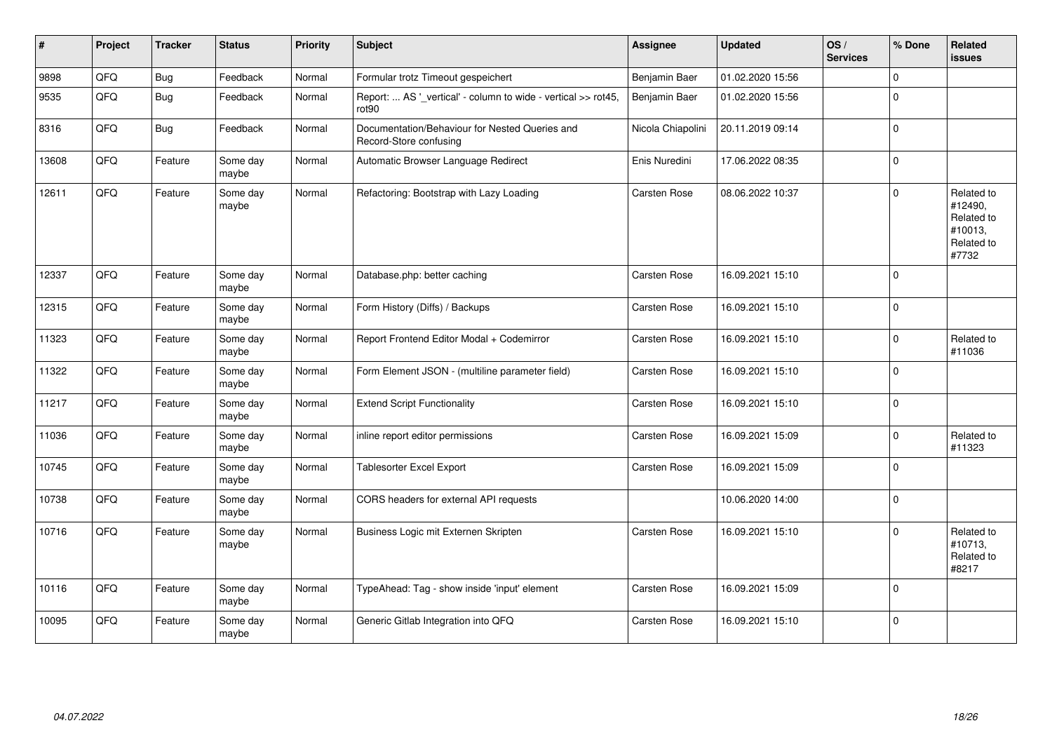| #     | Project | <b>Tracker</b> | <b>Status</b>     | <b>Priority</b> | <b>Subject</b>                                                           | <b>Assignee</b>     | <b>Updated</b>   | OS/<br><b>Services</b> | % Done      | <b>Related</b><br><b>issues</b>                                       |
|-------|---------|----------------|-------------------|-----------------|--------------------------------------------------------------------------|---------------------|------------------|------------------------|-------------|-----------------------------------------------------------------------|
| 9898  | QFQ     | <b>Bug</b>     | Feedback          | Normal          | Formular trotz Timeout gespeichert                                       | Benjamin Baer       | 01.02.2020 15:56 |                        | $\Omega$    |                                                                       |
| 9535  | QFQ     | Bug            | Feedback          | Normal          | Report:  AS '_vertical' - column to wide - vertical >> rot45,<br>rot90   | Benjamin Baer       | 01.02.2020 15:56 |                        | $\Omega$    |                                                                       |
| 8316  | QFQ     | <b>Bug</b>     | Feedback          | Normal          | Documentation/Behaviour for Nested Queries and<br>Record-Store confusing | Nicola Chiapolini   | 20.11.2019 09:14 |                        | $\Omega$    |                                                                       |
| 13608 | QFQ     | Feature        | Some day<br>maybe | Normal          | Automatic Browser Language Redirect                                      | Enis Nuredini       | 17.06.2022 08:35 |                        | 0           |                                                                       |
| 12611 | QFQ     | Feature        | Some day<br>maybe | Normal          | Refactoring: Bootstrap with Lazy Loading                                 | <b>Carsten Rose</b> | 08.06.2022 10:37 |                        | $\Omega$    | Related to<br>#12490,<br>Related to<br>#10013,<br>Related to<br>#7732 |
| 12337 | QFQ     | Feature        | Some day<br>maybe | Normal          | Database.php: better caching                                             | <b>Carsten Rose</b> | 16.09.2021 15:10 |                        | $\Omega$    |                                                                       |
| 12315 | QFQ     | Feature        | Some day<br>maybe | Normal          | Form History (Diffs) / Backups                                           | <b>Carsten Rose</b> | 16.09.2021 15:10 |                        | $\mathbf 0$ |                                                                       |
| 11323 | QFQ     | Feature        | Some day<br>maybe | Normal          | Report Frontend Editor Modal + Codemirror                                | Carsten Rose        | 16.09.2021 15:10 |                        | $\Omega$    | Related to<br>#11036                                                  |
| 11322 | QFQ     | Feature        | Some day<br>maybe | Normal          | Form Element JSON - (multiline parameter field)                          | <b>Carsten Rose</b> | 16.09.2021 15:10 |                        | $\mathbf 0$ |                                                                       |
| 11217 | QFQ     | Feature        | Some day<br>maybe | Normal          | <b>Extend Script Functionality</b>                                       | <b>Carsten Rose</b> | 16.09.2021 15:10 |                        | $\Omega$    |                                                                       |
| 11036 | QFQ     | Feature        | Some day<br>maybe | Normal          | inline report editor permissions                                         | Carsten Rose        | 16.09.2021 15:09 |                        | $\Omega$    | Related to<br>#11323                                                  |
| 10745 | QFQ     | Feature        | Some day<br>maybe | Normal          | <b>Tablesorter Excel Export</b>                                          | Carsten Rose        | 16.09.2021 15:09 |                        | $\Omega$    |                                                                       |
| 10738 | QFQ     | Feature        | Some day<br>maybe | Normal          | CORS headers for external API requests                                   |                     | 10.06.2020 14:00 |                        | $\Omega$    |                                                                       |
| 10716 | QFQ     | Feature        | Some day<br>maybe | Normal          | Business Logic mit Externen Skripten                                     | Carsten Rose        | 16.09.2021 15:10 |                        | 0           | Related to<br>#10713,<br>Related to<br>#8217                          |
| 10116 | QFQ     | Feature        | Some day<br>maybe | Normal          | TypeAhead: Tag - show inside 'input' element                             | Carsten Rose        | 16.09.2021 15:09 |                        | $\Omega$    |                                                                       |
| 10095 | QFQ     | Feature        | Some day<br>maybe | Normal          | Generic Gitlab Integration into QFQ                                      | <b>Carsten Rose</b> | 16.09.2021 15:10 |                        | $\Omega$    |                                                                       |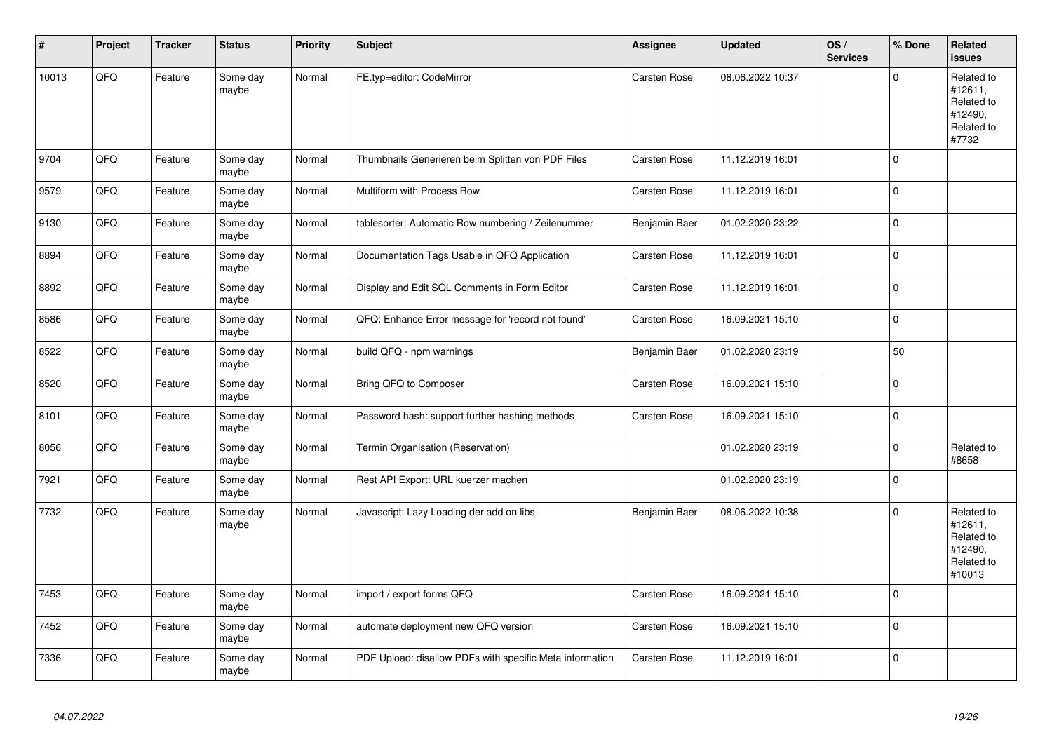| #     | Project | <b>Tracker</b> | <b>Status</b>     | <b>Priority</b> | <b>Subject</b>                                           | <b>Assignee</b>     | <b>Updated</b>   | OS/<br><b>Services</b> | % Done       | Related<br><b>issues</b>                                               |
|-------|---------|----------------|-------------------|-----------------|----------------------------------------------------------|---------------------|------------------|------------------------|--------------|------------------------------------------------------------------------|
| 10013 | QFQ     | Feature        | Some day<br>maybe | Normal          | FE.typ=editor: CodeMirror                                | Carsten Rose        | 08.06.2022 10:37 |                        | $\Omega$     | Related to<br>#12611,<br>Related to<br>#12490,<br>Related to<br>#7732  |
| 9704  | QFQ     | Feature        | Some day<br>maybe | Normal          | Thumbnails Generieren beim Splitten von PDF Files        | Carsten Rose        | 11.12.2019 16:01 |                        | $\Omega$     |                                                                        |
| 9579  | QFQ     | Feature        | Some day<br>maybe | Normal          | Multiform with Process Row                               | Carsten Rose        | 11.12.2019 16:01 |                        | $\Omega$     |                                                                        |
| 9130  | QFQ     | Feature        | Some day<br>maybe | Normal          | tablesorter: Automatic Row numbering / Zeilenummer       | Benjamin Baer       | 01.02.2020 23:22 |                        | $\Omega$     |                                                                        |
| 8894  | QFQ     | Feature        | Some day<br>maybe | Normal          | Documentation Tags Usable in QFQ Application             | Carsten Rose        | 11.12.2019 16:01 |                        | $\mathbf 0$  |                                                                        |
| 8892  | QFQ     | Feature        | Some day<br>maybe | Normal          | Display and Edit SQL Comments in Form Editor             | Carsten Rose        | 11.12.2019 16:01 |                        | $\mathbf 0$  |                                                                        |
| 8586  | QFQ     | Feature        | Some day<br>maybe | Normal          | QFQ: Enhance Error message for 'record not found'        | <b>Carsten Rose</b> | 16.09.2021 15:10 |                        | $\mathbf 0$  |                                                                        |
| 8522  | QFQ     | Feature        | Some day<br>maybe | Normal          | build QFQ - npm warnings                                 | Benjamin Baer       | 01.02.2020 23:19 |                        | 50           |                                                                        |
| 8520  | QFQ     | Feature        | Some day<br>maybe | Normal          | Bring QFQ to Composer                                    | <b>Carsten Rose</b> | 16.09.2021 15:10 |                        | 0            |                                                                        |
| 8101  | QFQ     | Feature        | Some day<br>maybe | Normal          | Password hash: support further hashing methods           | Carsten Rose        | 16.09.2021 15:10 |                        | $\Omega$     |                                                                        |
| 8056  | QFQ     | Feature        | Some day<br>maybe | Normal          | Termin Organisation (Reservation)                        |                     | 01.02.2020 23:19 |                        | $\mathbf 0$  | Related to<br>#8658                                                    |
| 7921  | QFQ     | Feature        | Some day<br>maybe | Normal          | Rest API Export: URL kuerzer machen                      |                     | 01.02.2020 23:19 |                        | $\mathbf 0$  |                                                                        |
| 7732  | QFQ     | Feature        | Some day<br>maybe | Normal          | Javascript: Lazy Loading der add on libs                 | Benjamin Baer       | 08.06.2022 10:38 |                        | $\mathbf{0}$ | Related to<br>#12611,<br>Related to<br>#12490,<br>Related to<br>#10013 |
| 7453  | QFQ     | Feature        | Some day<br>maybe | Normal          | import / export forms QFQ                                | Carsten Rose        | 16.09.2021 15:10 |                        | $\Omega$     |                                                                        |
| 7452  | QFQ     | Feature        | Some day<br>maybe | Normal          | automate deployment new QFQ version                      | Carsten Rose        | 16.09.2021 15:10 |                        | $\Omega$     |                                                                        |
| 7336  | QFQ     | Feature        | Some day<br>maybe | Normal          | PDF Upload: disallow PDFs with specific Meta information | Carsten Rose        | 11.12.2019 16:01 |                        | $\mathbf 0$  |                                                                        |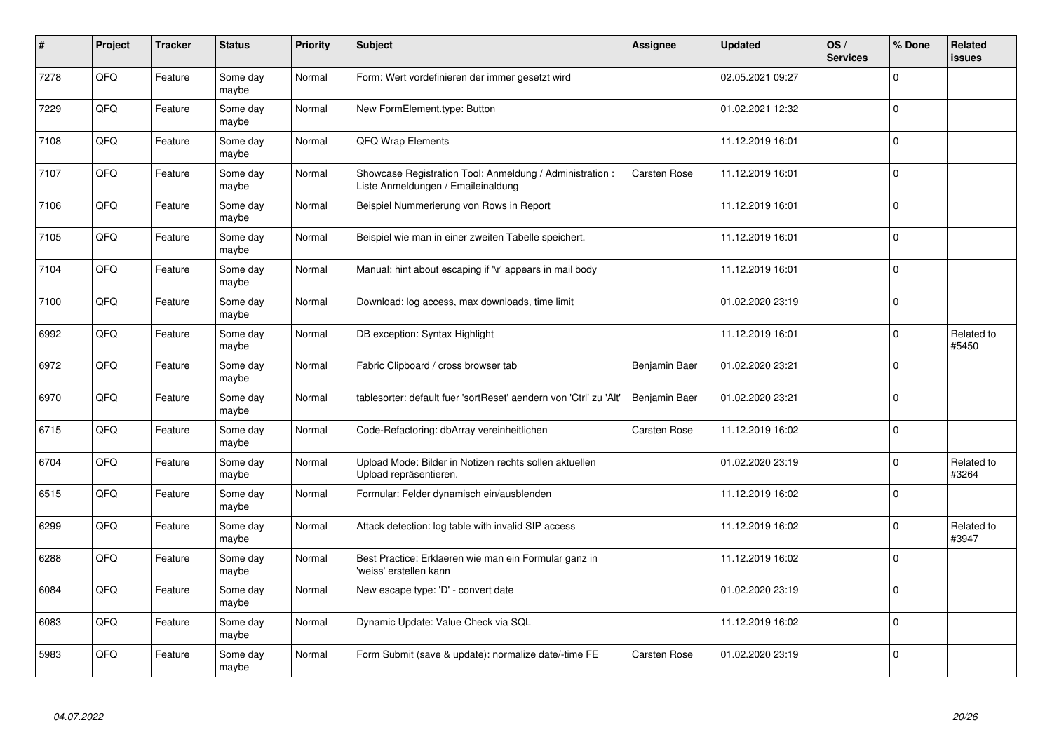| #    | Project | <b>Tracker</b> | <b>Status</b>     | <b>Priority</b> | Subject                                                                                        | <b>Assignee</b> | <b>Updated</b>   | OS/<br><b>Services</b> | % Done      | <b>Related</b><br><b>issues</b> |
|------|---------|----------------|-------------------|-----------------|------------------------------------------------------------------------------------------------|-----------------|------------------|------------------------|-------------|---------------------------------|
| 7278 | QFQ     | Feature        | Some day<br>maybe | Normal          | Form: Wert vordefinieren der immer gesetzt wird                                                |                 | 02.05.2021 09:27 |                        | $\Omega$    |                                 |
| 7229 | QFQ     | Feature        | Some day<br>maybe | Normal          | New FormElement.type: Button                                                                   |                 | 01.02.2021 12:32 |                        | $\mathbf 0$ |                                 |
| 7108 | QFQ     | Feature        | Some day<br>maybe | Normal          | QFQ Wrap Elements                                                                              |                 | 11.12.2019 16:01 |                        | $\Omega$    |                                 |
| 7107 | QFQ     | Feature        | Some day<br>maybe | Normal          | Showcase Registration Tool: Anmeldung / Administration :<br>Liste Anmeldungen / Emaileinaldung | Carsten Rose    | 11.12.2019 16:01 |                        | $\Omega$    |                                 |
| 7106 | QFQ     | Feature        | Some day<br>maybe | Normal          | Beispiel Nummerierung von Rows in Report                                                       |                 | 11.12.2019 16:01 |                        | $\mathbf 0$ |                                 |
| 7105 | QFQ     | Feature        | Some day<br>maybe | Normal          | Beispiel wie man in einer zweiten Tabelle speichert.                                           |                 | 11.12.2019 16:01 |                        | $\mathbf 0$ |                                 |
| 7104 | QFQ     | Feature        | Some day<br>maybe | Normal          | Manual: hint about escaping if '\r' appears in mail body                                       |                 | 11.12.2019 16:01 |                        | $\mathbf 0$ |                                 |
| 7100 | QFQ     | Feature        | Some day<br>maybe | Normal          | Download: log access, max downloads, time limit                                                |                 | 01.02.2020 23:19 |                        | $\mathbf 0$ |                                 |
| 6992 | QFQ     | Feature        | Some day<br>maybe | Normal          | DB exception: Syntax Highlight                                                                 |                 | 11.12.2019 16:01 |                        | $\Omega$    | Related to<br>#5450             |
| 6972 | QFQ     | Feature        | Some day<br>maybe | Normal          | Fabric Clipboard / cross browser tab                                                           | Benjamin Baer   | 01.02.2020 23:21 |                        | $\mathbf 0$ |                                 |
| 6970 | QFQ     | Feature        | Some day<br>maybe | Normal          | tablesorter: default fuer 'sortReset' aendern von 'Ctrl' zu 'Alt'                              | Benjamin Baer   | 01.02.2020 23:21 |                        | $\mathbf 0$ |                                 |
| 6715 | QFQ     | Feature        | Some day<br>maybe | Normal          | Code-Refactoring: dbArray vereinheitlichen                                                     | Carsten Rose    | 11.12.2019 16:02 |                        | $\Omega$    |                                 |
| 6704 | QFQ     | Feature        | Some day<br>maybe | Normal          | Upload Mode: Bilder in Notizen rechts sollen aktuellen<br>Upload repräsentieren.               |                 | 01.02.2020 23:19 |                        | $\mathbf 0$ | Related to<br>#3264             |
| 6515 | QFQ     | Feature        | Some day<br>maybe | Normal          | Formular: Felder dynamisch ein/ausblenden                                                      |                 | 11.12.2019 16:02 |                        | $\mathbf 0$ |                                 |
| 6299 | QFQ     | Feature        | Some day<br>maybe | Normal          | Attack detection: log table with invalid SIP access                                            |                 | 11.12.2019 16:02 |                        | $\Omega$    | Related to<br>#3947             |
| 6288 | QFQ     | Feature        | Some day<br>maybe | Normal          | Best Practice: Erklaeren wie man ein Formular ganz in<br>'weiss' erstellen kann                |                 | 11.12.2019 16:02 |                        | $\Omega$    |                                 |
| 6084 | QFQ     | Feature        | Some day<br>maybe | Normal          | New escape type: 'D' - convert date                                                            |                 | 01.02.2020 23:19 |                        | $\mathbf 0$ |                                 |
| 6083 | QFQ     | Feature        | Some day<br>maybe | Normal          | Dynamic Update: Value Check via SQL                                                            |                 | 11.12.2019 16:02 |                        | $\Omega$    |                                 |
| 5983 | QFQ     | Feature        | Some day<br>maybe | Normal          | Form Submit (save & update): normalize date/-time FE                                           | Carsten Rose    | 01.02.2020 23:19 |                        | $\Omega$    |                                 |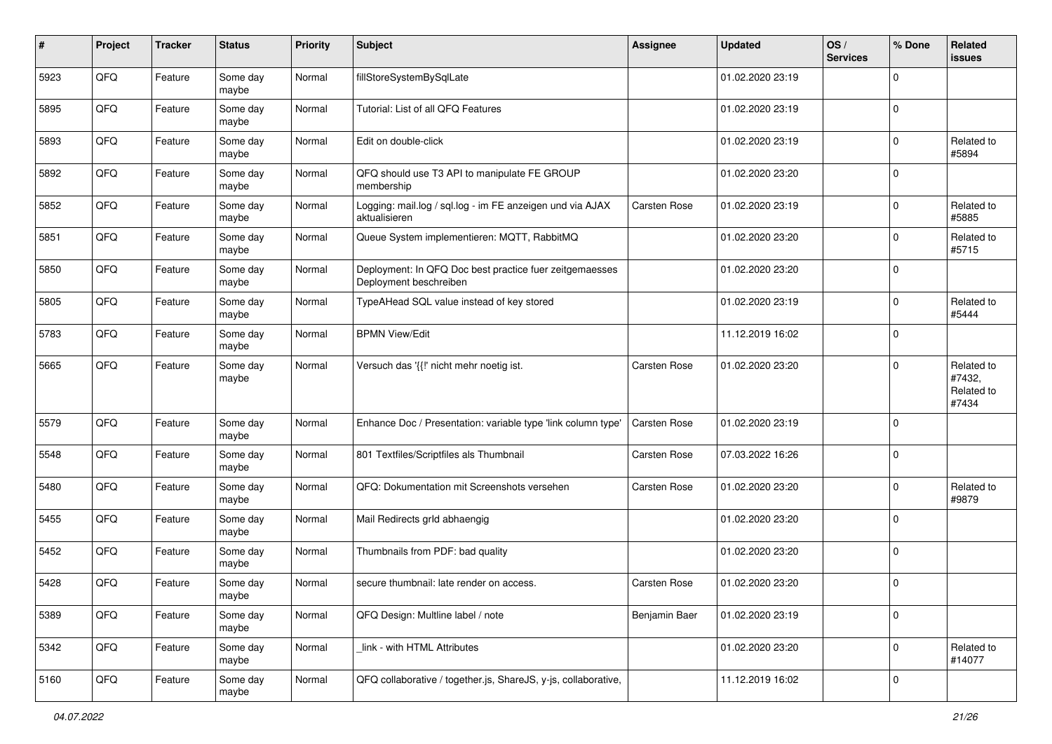| #    | Project | <b>Tracker</b> | <b>Status</b>     | <b>Priority</b> | <b>Subject</b>                                                                    | <b>Assignee</b>     | <b>Updated</b>   | OS/<br><b>Services</b> | % Done         | Related<br><b>issues</b>                    |
|------|---------|----------------|-------------------|-----------------|-----------------------------------------------------------------------------------|---------------------|------------------|------------------------|----------------|---------------------------------------------|
| 5923 | QFQ     | Feature        | Some day<br>maybe | Normal          | fillStoreSystemBySqlLate                                                          |                     | 01.02.2020 23:19 |                        | 0              |                                             |
| 5895 | QFQ     | Feature        | Some day<br>maybe | Normal          | Tutorial: List of all QFQ Features                                                |                     | 01.02.2020 23:19 |                        | $\mathbf 0$    |                                             |
| 5893 | QFQ     | Feature        | Some day<br>maybe | Normal          | Edit on double-click                                                              |                     | 01.02.2020 23:19 |                        | $\mathbf 0$    | Related to<br>#5894                         |
| 5892 | QFQ     | Feature        | Some day<br>maybe | Normal          | QFQ should use T3 API to manipulate FE GROUP<br>membership                        |                     | 01.02.2020 23:20 |                        | $\mathbf 0$    |                                             |
| 5852 | QFQ     | Feature        | Some day<br>maybe | Normal          | Logging: mail.log / sql.log - im FE anzeigen und via AJAX<br>aktualisieren        | <b>Carsten Rose</b> | 01.02.2020 23:19 |                        | $\mathbf 0$    | Related to<br>#5885                         |
| 5851 | QFQ     | Feature        | Some day<br>maybe | Normal          | Queue System implementieren: MQTT, RabbitMQ                                       |                     | 01.02.2020 23:20 |                        | $\mathbf 0$    | Related to<br>#5715                         |
| 5850 | QFQ     | Feature        | Some day<br>maybe | Normal          | Deployment: In QFQ Doc best practice fuer zeitgemaesses<br>Deployment beschreiben |                     | 01.02.2020 23:20 |                        | $\Omega$       |                                             |
| 5805 | QFQ     | Feature        | Some day<br>maybe | Normal          | TypeAHead SQL value instead of key stored                                         |                     | 01.02.2020 23:19 |                        | $\mathbf 0$    | Related to<br>#5444                         |
| 5783 | QFQ     | Feature        | Some day<br>maybe | Normal          | <b>BPMN View/Edit</b>                                                             |                     | 11.12.2019 16:02 |                        | $\mathbf 0$    |                                             |
| 5665 | QFQ     | Feature        | Some day<br>maybe | Normal          | Versuch das '{{!' nicht mehr noetig ist.                                          | <b>Carsten Rose</b> | 01.02.2020 23:20 |                        | $\mathbf 0$    | Related to<br>#7432,<br>Related to<br>#7434 |
| 5579 | QFQ     | Feature        | Some day<br>maybe | Normal          | Enhance Doc / Presentation: variable type 'link column type'                      | <b>Carsten Rose</b> | 01.02.2020 23:19 |                        | 0              |                                             |
| 5548 | QFQ     | Feature        | Some day<br>maybe | Normal          | 801 Textfiles/Scriptfiles als Thumbnail                                           | <b>Carsten Rose</b> | 07.03.2022 16:26 |                        | $\mathbf 0$    |                                             |
| 5480 | QFQ     | Feature        | Some day<br>maybe | Normal          | QFQ: Dokumentation mit Screenshots versehen                                       | Carsten Rose        | 01.02.2020 23:20 |                        | $\mathbf 0$    | Related to<br>#9879                         |
| 5455 | QFQ     | Feature        | Some day<br>maybe | Normal          | Mail Redirects grld abhaengig                                                     |                     | 01.02.2020 23:20 |                        | $\mathbf 0$    |                                             |
| 5452 | QFQ     | Feature        | Some day<br>maybe | Normal          | Thumbnails from PDF: bad quality                                                  |                     | 01.02.2020 23:20 |                        | $\mathbf 0$    |                                             |
| 5428 | QFQ     | Feature        | Some day<br>maybe | Normal          | secure thumbnail: late render on access.                                          | Carsten Rose        | 01.02.2020 23:20 |                        | $\mathbf 0$    |                                             |
| 5389 | QFQ     | Feature        | Some day<br>maybe | Normal          | QFQ Design: Multline label / note                                                 | Benjamin Baer       | 01.02.2020 23:19 |                        | $\mathbf 0$    |                                             |
| 5342 | QFQ     | Feature        | Some day<br>maybe | Normal          | link - with HTML Attributes                                                       |                     | 01.02.2020 23:20 |                        | 0              | Related to<br>#14077                        |
| 5160 | QFQ     | Feature        | Some day<br>maybe | Normal          | QFQ collaborative / together.js, ShareJS, y-js, collaborative,                    |                     | 11.12.2019 16:02 |                        | $\overline{0}$ |                                             |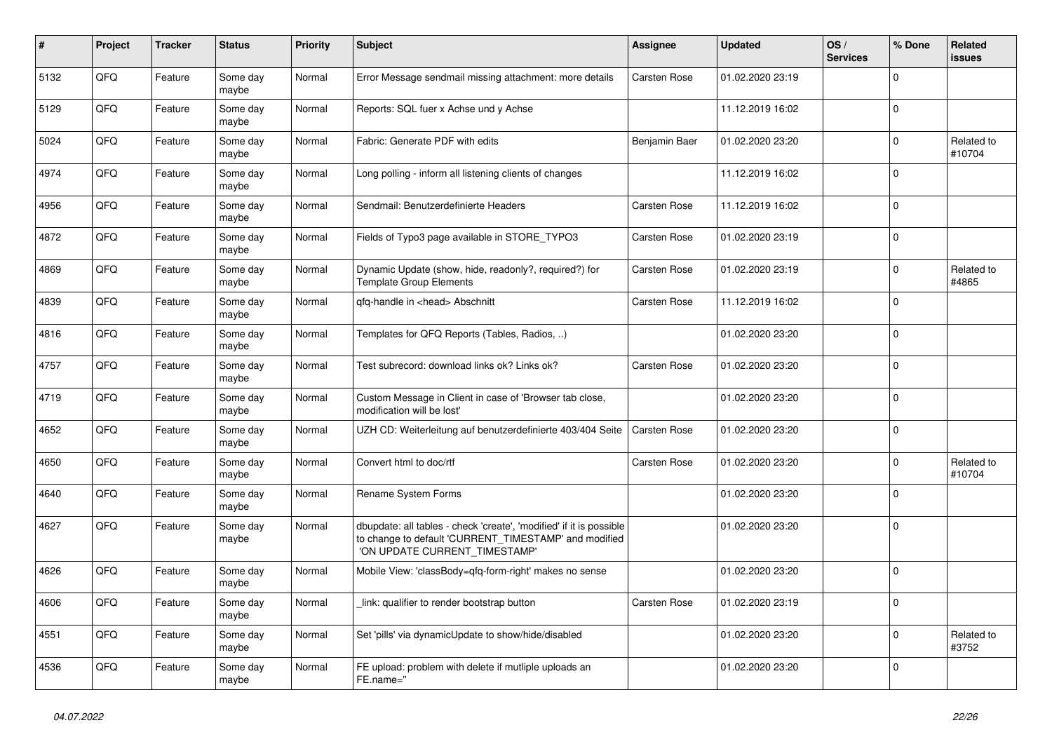| #    | Project | <b>Tracker</b> | <b>Status</b>     | <b>Priority</b> | <b>Subject</b>                                                                                                                                                | <b>Assignee</b>     | <b>Updated</b>   | OS/<br><b>Services</b> | % Done      | Related<br><b>issues</b> |
|------|---------|----------------|-------------------|-----------------|---------------------------------------------------------------------------------------------------------------------------------------------------------------|---------------------|------------------|------------------------|-------------|--------------------------|
| 5132 | QFQ     | Feature        | Some day<br>maybe | Normal          | Error Message sendmail missing attachment: more details                                                                                                       | Carsten Rose        | 01.02.2020 23:19 |                        | $\Omega$    |                          |
| 5129 | QFQ     | Feature        | Some day<br>maybe | Normal          | Reports: SQL fuer x Achse und y Achse                                                                                                                         |                     | 11.12.2019 16:02 |                        | $\mathbf 0$ |                          |
| 5024 | QFQ     | Feature        | Some day<br>maybe | Normal          | Fabric: Generate PDF with edits                                                                                                                               | Benjamin Baer       | 01.02.2020 23:20 |                        | $\Omega$    | Related to<br>#10704     |
| 4974 | QFQ     | Feature        | Some day<br>maybe | Normal          | Long polling - inform all listening clients of changes                                                                                                        |                     | 11.12.2019 16:02 |                        | $\Omega$    |                          |
| 4956 | QFQ     | Feature        | Some day<br>maybe | Normal          | Sendmail: Benutzerdefinierte Headers                                                                                                                          | Carsten Rose        | 11.12.2019 16:02 |                        | $\mathbf 0$ |                          |
| 4872 | QFQ     | Feature        | Some day<br>maybe | Normal          | Fields of Typo3 page available in STORE_TYPO3                                                                                                                 | Carsten Rose        | 01.02.2020 23:19 |                        | $\Omega$    |                          |
| 4869 | QFQ     | Feature        | Some day<br>maybe | Normal          | Dynamic Update (show, hide, readonly?, required?) for<br><b>Template Group Elements</b>                                                                       | Carsten Rose        | 01.02.2020 23:19 |                        | $\Omega$    | Related to<br>#4865      |
| 4839 | QFQ     | Feature        | Some dav<br>maybe | Normal          | qfq-handle in <head> Abschnitt</head>                                                                                                                         | <b>Carsten Rose</b> | 11.12.2019 16:02 |                        | $\mathbf 0$ |                          |
| 4816 | QFQ     | Feature        | Some day<br>maybe | Normal          | Templates for QFQ Reports (Tables, Radios, )                                                                                                                  |                     | 01.02.2020 23:20 |                        | $\Omega$    |                          |
| 4757 | QFQ     | Feature        | Some day<br>maybe | Normal          | Test subrecord: download links ok? Links ok?                                                                                                                  | <b>Carsten Rose</b> | 01.02.2020 23:20 |                        | $\Omega$    |                          |
| 4719 | QFQ     | Feature        | Some dav<br>maybe | Normal          | Custom Message in Client in case of 'Browser tab close,<br>modification will be lost'                                                                         |                     | 01.02.2020 23:20 |                        | $\mathbf 0$ |                          |
| 4652 | QFQ     | Feature        | Some day<br>maybe | Normal          | UZH CD: Weiterleitung auf benutzerdefinierte 403/404 Seite                                                                                                    | <b>Carsten Rose</b> | 01.02.2020 23:20 |                        | $\mathbf 0$ |                          |
| 4650 | QFQ     | Feature        | Some day<br>maybe | Normal          | Convert html to doc/rtf                                                                                                                                       | <b>Carsten Rose</b> | 01.02.2020 23:20 |                        | $\Omega$    | Related to<br>#10704     |
| 4640 | QFQ     | Feature        | Some day<br>maybe | Normal          | <b>Rename System Forms</b>                                                                                                                                    |                     | 01.02.2020 23:20 |                        | $\mathbf 0$ |                          |
| 4627 | QFQ     | Feature        | Some day<br>maybe | Normal          | dbupdate: all tables - check 'create', 'modified' if it is possible<br>to change to default 'CURRENT_TIMESTAMP' and modified<br>'ON UPDATE CURRENT TIMESTAMP' |                     | 01.02.2020 23:20 |                        | $\mathbf 0$ |                          |
| 4626 | QFQ     | Feature        | Some dav<br>maybe | Normal          | Mobile View: 'classBody=qfq-form-right' makes no sense                                                                                                        |                     | 01.02.2020 23:20 |                        | $\Omega$    |                          |
| 4606 | QFQ     | Feature        | Some day<br>maybe | Normal          | link: qualifier to render bootstrap button                                                                                                                    | Carsten Rose        | 01.02.2020 23:19 |                        | $\mathbf 0$ |                          |
| 4551 | QFQ     | Feature        | Some day<br>maybe | Normal          | Set 'pills' via dynamicUpdate to show/hide/disabled                                                                                                           |                     | 01.02.2020 23:20 |                        | $\Omega$    | Related to<br>#3752      |
| 4536 | QFQ     | Feature        | Some day<br>maybe | Normal          | FE upload: problem with delete if mutliple uploads an<br>FE.name="                                                                                            |                     | 01.02.2020 23:20 |                        | $\Omega$    |                          |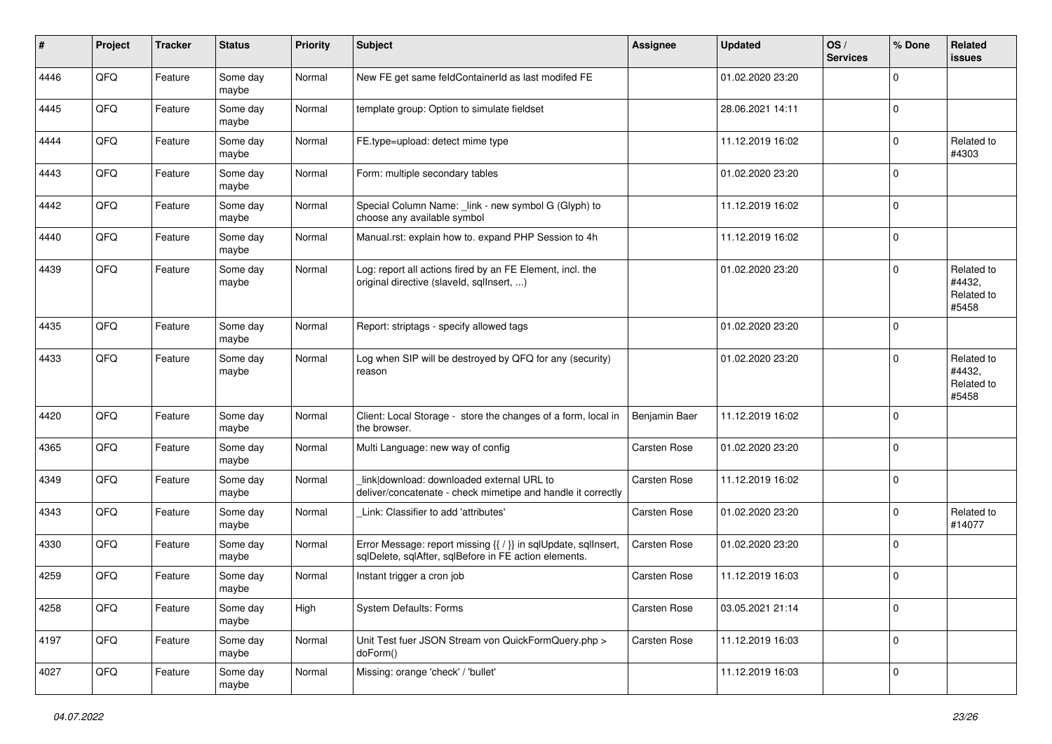| #    | Project | <b>Tracker</b> | <b>Status</b>     | <b>Priority</b> | <b>Subject</b>                                                                                                          | Assignee            | <b>Updated</b>   | OS/<br><b>Services</b> | % Done      | Related<br>issues                           |
|------|---------|----------------|-------------------|-----------------|-------------------------------------------------------------------------------------------------------------------------|---------------------|------------------|------------------------|-------------|---------------------------------------------|
| 4446 | QFQ     | Feature        | Some day<br>maybe | Normal          | New FE get same feldContainerId as last modifed FE                                                                      |                     | 01.02.2020 23:20 |                        | 0           |                                             |
| 4445 | QFQ     | Feature        | Some day<br>maybe | Normal          | template group: Option to simulate fieldset                                                                             |                     | 28.06.2021 14:11 |                        | $\mathbf 0$ |                                             |
| 4444 | QFQ     | Feature        | Some day<br>maybe | Normal          | FE.type=upload: detect mime type                                                                                        |                     | 11.12.2019 16:02 |                        | $\mathbf 0$ | Related to<br>#4303                         |
| 4443 | QFQ     | Feature        | Some day<br>maybe | Normal          | Form: multiple secondary tables                                                                                         |                     | 01.02.2020 23:20 |                        | $\mathbf 0$ |                                             |
| 4442 | QFQ     | Feature        | Some day<br>maybe | Normal          | Special Column Name: _link - new symbol G (Glyph) to<br>choose any available symbol                                     |                     | 11.12.2019 16:02 |                        | $\mathbf 0$ |                                             |
| 4440 | QFQ     | Feature        | Some day<br>maybe | Normal          | Manual.rst: explain how to. expand PHP Session to 4h                                                                    |                     | 11.12.2019 16:02 |                        | $\mathbf 0$ |                                             |
| 4439 | QFQ     | Feature        | Some day<br>maybe | Normal          | Log: report all actions fired by an FE Element, incl. the<br>original directive (slaveld, sqllnsert, )                  |                     | 01.02.2020 23:20 |                        | $\mathbf 0$ | Related to<br>#4432,<br>Related to<br>#5458 |
| 4435 | QFQ     | Feature        | Some day<br>maybe | Normal          | Report: striptags - specify allowed tags                                                                                |                     | 01.02.2020 23:20 |                        | $\mathbf 0$ |                                             |
| 4433 | QFQ     | Feature        | Some day<br>maybe | Normal          | Log when SIP will be destroyed by QFQ for any (security)<br>reason                                                      |                     | 01.02.2020 23:20 |                        | $\Omega$    | Related to<br>#4432,<br>Related to<br>#5458 |
| 4420 | QFQ     | Feature        | Some day<br>maybe | Normal          | Client: Local Storage - store the changes of a form, local in<br>the browser.                                           | Benjamin Baer       | 11.12.2019 16:02 |                        | $\mathbf 0$ |                                             |
| 4365 | QFQ     | Feature        | Some day<br>maybe | Normal          | Multi Language: new way of config                                                                                       | Carsten Rose        | 01.02.2020 23:20 |                        | $\mathbf 0$ |                                             |
| 4349 | QFQ     | Feature        | Some day<br>maybe | Normal          | link download: downloaded external URL to<br>deliver/concatenate - check mimetipe and handle it correctly               | Carsten Rose        | 11.12.2019 16:02 |                        | $\mathbf 0$ |                                             |
| 4343 | QFQ     | Feature        | Some day<br>maybe | Normal          | Link: Classifier to add 'attributes'                                                                                    | Carsten Rose        | 01.02.2020 23:20 |                        | $\mathbf 0$ | Related to<br>#14077                        |
| 4330 | QFQ     | Feature        | Some day<br>maybe | Normal          | Error Message: report missing {{ / }} in sqlUpdate, sqlInsert,<br>sqlDelete, sqlAfter, sqlBefore in FE action elements. | Carsten Rose        | 01.02.2020 23:20 |                        | $\mathbf 0$ |                                             |
| 4259 | QFQ     | Feature        | Some day<br>maybe | Normal          | Instant trigger a cron job                                                                                              | <b>Carsten Rose</b> | 11.12.2019 16:03 |                        | $\mathbf 0$ |                                             |
| 4258 | QFG     | Feature        | Some day<br>maybe | High            | System Defaults: Forms                                                                                                  | Carsten Rose        | 03.05.2021 21:14 |                        | 0           |                                             |
| 4197 | QFQ     | Feature        | Some day<br>maybe | Normal          | Unit Test fuer JSON Stream von QuickFormQuery.php ><br>doForm()                                                         | Carsten Rose        | 11.12.2019 16:03 |                        | 0           |                                             |
| 4027 | QFQ     | Feature        | Some day<br>maybe | Normal          | Missing: orange 'check' / 'bullet'                                                                                      |                     | 11.12.2019 16:03 |                        | $\mathbf 0$ |                                             |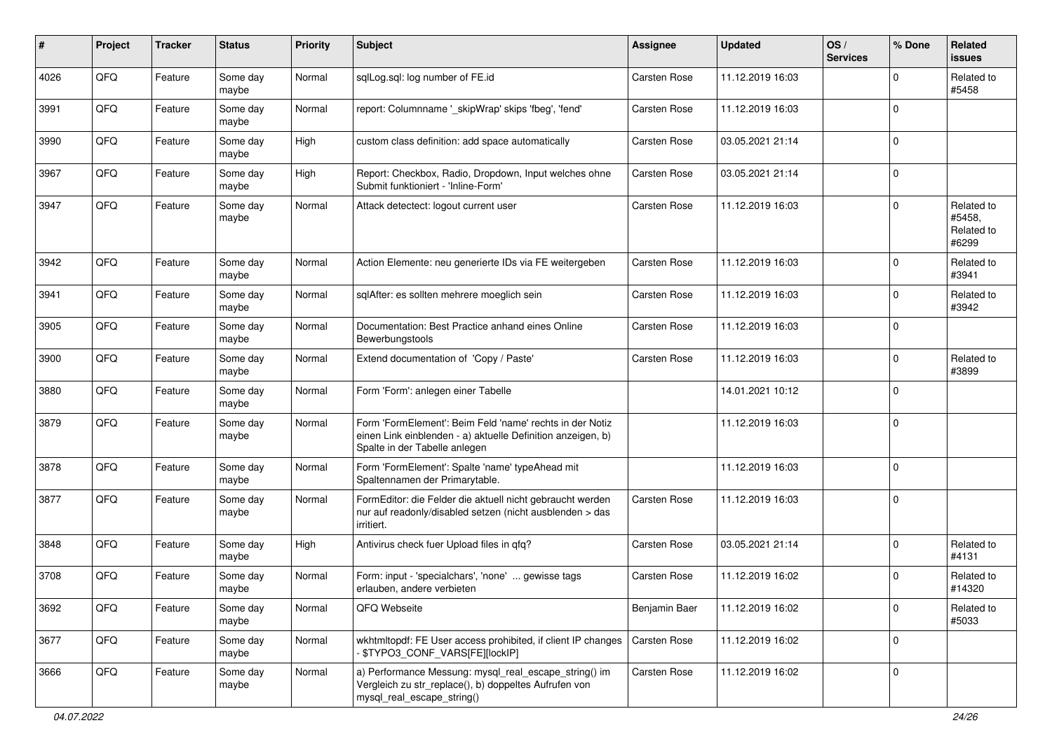| ∦    | Project | <b>Tracker</b> | <b>Status</b>     | <b>Priority</b> | <b>Subject</b>                                                                                                                                           | <b>Assignee</b>     | <b>Updated</b>   | OS/<br><b>Services</b> | % Done      | Related<br><b>issues</b>                    |
|------|---------|----------------|-------------------|-----------------|----------------------------------------------------------------------------------------------------------------------------------------------------------|---------------------|------------------|------------------------|-------------|---------------------------------------------|
| 4026 | QFQ     | Feature        | Some day<br>maybe | Normal          | sqlLog.sql: log number of FE.id                                                                                                                          | Carsten Rose        | 11.12.2019 16:03 |                        | $\Omega$    | Related to<br>#5458                         |
| 3991 | QFQ     | Feature        | Some day<br>maybe | Normal          | report: Columnname '_skipWrap' skips 'fbeg', 'fend'                                                                                                      | Carsten Rose        | 11.12.2019 16:03 |                        | $\Omega$    |                                             |
| 3990 | QFQ     | Feature        | Some day<br>maybe | High            | custom class definition: add space automatically                                                                                                         | Carsten Rose        | 03.05.2021 21:14 |                        | $\Omega$    |                                             |
| 3967 | QFQ     | Feature        | Some day<br>maybe | High            | Report: Checkbox, Radio, Dropdown, Input welches ohne<br>Submit funktioniert - 'Inline-Form'                                                             | <b>Carsten Rose</b> | 03.05.2021 21:14 |                        | $\mathbf 0$ |                                             |
| 3947 | QFQ     | Feature        | Some day<br>maybe | Normal          | Attack detectect: logout current user                                                                                                                    | Carsten Rose        | 11.12.2019 16:03 |                        | $\Omega$    | Related to<br>#5458.<br>Related to<br>#6299 |
| 3942 | QFQ     | Feature        | Some day<br>maybe | Normal          | Action Elemente: neu generierte IDs via FE weitergeben                                                                                                   | <b>Carsten Rose</b> | 11.12.2019 16:03 |                        | $\mathbf 0$ | Related to<br>#3941                         |
| 3941 | QFQ     | Feature        | Some day<br>maybe | Normal          | sqlAfter: es sollten mehrere moeglich sein                                                                                                               | <b>Carsten Rose</b> | 11.12.2019 16:03 |                        | $\Omega$    | Related to<br>#3942                         |
| 3905 | QFQ     | Feature        | Some day<br>maybe | Normal          | Documentation: Best Practice anhand eines Online<br>Bewerbungstools                                                                                      | <b>Carsten Rose</b> | 11.12.2019 16:03 |                        | $\Omega$    |                                             |
| 3900 | QFQ     | Feature        | Some day<br>maybe | Normal          | Extend documentation of 'Copy / Paste'                                                                                                                   | Carsten Rose        | 11.12.2019 16:03 |                        | $\Omega$    | Related to<br>#3899                         |
| 3880 | QFQ     | Feature        | Some day<br>maybe | Normal          | Form 'Form': anlegen einer Tabelle                                                                                                                       |                     | 14.01.2021 10:12 |                        | $\Omega$    |                                             |
| 3879 | QFQ     | Feature        | Some day<br>maybe | Normal          | Form 'FormElement': Beim Feld 'name' rechts in der Notiz<br>einen Link einblenden - a) aktuelle Definition anzeigen, b)<br>Spalte in der Tabelle anlegen |                     | 11.12.2019 16:03 |                        | $\mathbf 0$ |                                             |
| 3878 | QFQ     | Feature        | Some day<br>maybe | Normal          | Form 'FormElement': Spalte 'name' typeAhead mit<br>Spaltennamen der Primarytable.                                                                        |                     | 11.12.2019 16:03 |                        | $\mathbf 0$ |                                             |
| 3877 | QFQ     | Feature        | Some day<br>maybe | Normal          | FormEditor: die Felder die aktuell nicht gebraucht werden<br>nur auf readonly/disabled setzen (nicht ausblenden > das<br>irritiert.                      | <b>Carsten Rose</b> | 11.12.2019 16:03 |                        | $\Omega$    |                                             |
| 3848 | QFQ     | Feature        | Some day<br>maybe | High            | Antivirus check fuer Upload files in qfq?                                                                                                                | <b>Carsten Rose</b> | 03.05.2021 21:14 |                        | $\Omega$    | Related to<br>#4131                         |
| 3708 | QFQ     | Feature        | Some day<br>maybe | Normal          | Form: input - 'specialchars', 'none'  gewisse tags<br>erlauben, andere verbieten                                                                         | <b>Carsten Rose</b> | 11.12.2019 16:02 |                        | 0           | Related to<br>#14320                        |
| 3692 | QFO     | Feature        | Some day<br>maybe | Normal          | QFQ Webseite                                                                                                                                             | Benjamin Baer       | 11.12.2019 16:02 |                        | $\mathbf 0$ | Related to<br>#5033                         |
| 3677 | QFQ     | Feature        | Some day<br>maybe | Normal          | wkhtmltopdf: FE User access prohibited, if client IP changes<br>- \$TYPO3_CONF_VARS[FE][lockIP]                                                          | Carsten Rose        | 11.12.2019 16:02 |                        | $\mathbf 0$ |                                             |
| 3666 | QFQ     | Feature        | Some day<br>maybe | Normal          | a) Performance Messung: mysql_real_escape_string() im<br>Vergleich zu str_replace(), b) doppeltes Aufrufen von<br>mysql_real_escape_string()             | Carsten Rose        | 11.12.2019 16:02 |                        | $\mathbf 0$ |                                             |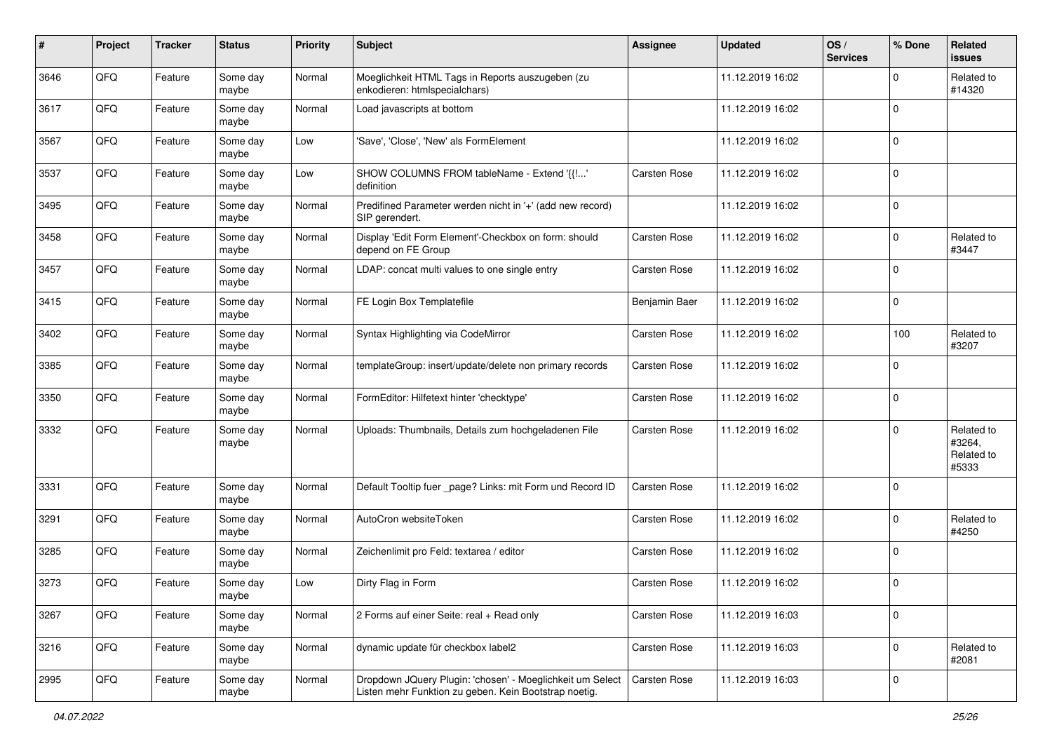| #    | Project | <b>Tracker</b> | <b>Status</b>     | <b>Priority</b> | <b>Subject</b>                                                                                                     | <b>Assignee</b>     | <b>Updated</b>   | OS/<br><b>Services</b> | % Done              | Related<br><b>issues</b>                    |
|------|---------|----------------|-------------------|-----------------|--------------------------------------------------------------------------------------------------------------------|---------------------|------------------|------------------------|---------------------|---------------------------------------------|
| 3646 | QFQ     | Feature        | Some day<br>maybe | Normal          | Moeglichkeit HTML Tags in Reports auszugeben (zu<br>enkodieren: htmlspecialchars)                                  |                     | 11.12.2019 16:02 |                        | $\mathbf 0$         | Related to<br>#14320                        |
| 3617 | QFQ     | Feature        | Some day<br>maybe | Normal          | Load javascripts at bottom                                                                                         |                     | 11.12.2019 16:02 |                        | $\mathbf 0$         |                                             |
| 3567 | QFQ     | Feature        | Some day<br>maybe | Low             | 'Save', 'Close', 'New' als FormElement                                                                             |                     | 11.12.2019 16:02 |                        | $\mathbf 0$         |                                             |
| 3537 | QFQ     | Feature        | Some day<br>maybe | Low             | SHOW COLUMNS FROM tableName - Extend '{{!'<br>definition                                                           | <b>Carsten Rose</b> | 11.12.2019 16:02 |                        | $\mathbf 0$         |                                             |
| 3495 | QFQ     | Feature        | Some day<br>maybe | Normal          | Predifined Parameter werden nicht in '+' (add new record)<br>SIP gerendert.                                        |                     | 11.12.2019 16:02 |                        | $\mathbf 0$         |                                             |
| 3458 | QFQ     | Feature        | Some day<br>maybe | Normal          | Display 'Edit Form Element'-Checkbox on form: should<br>depend on FE Group                                         | <b>Carsten Rose</b> | 11.12.2019 16:02 |                        | $\mathbf 0$         | Related to<br>#3447                         |
| 3457 | QFQ     | Feature        | Some day<br>maybe | Normal          | LDAP: concat multi values to one single entry                                                                      | <b>Carsten Rose</b> | 11.12.2019 16:02 |                        | $\mathbf 0$         |                                             |
| 3415 | QFQ     | Feature        | Some day<br>maybe | Normal          | FE Login Box Templatefile                                                                                          | Benjamin Baer       | 11.12.2019 16:02 |                        | 0                   |                                             |
| 3402 | QFQ     | Feature        | Some day<br>maybe | Normal          | Syntax Highlighting via CodeMirror                                                                                 | <b>Carsten Rose</b> | 11.12.2019 16:02 |                        | 100                 | Related to<br>#3207                         |
| 3385 | QFQ     | Feature        | Some day<br>maybe | Normal          | templateGroup: insert/update/delete non primary records                                                            | <b>Carsten Rose</b> | 11.12.2019 16:02 |                        | $\mathbf 0$         |                                             |
| 3350 | QFQ     | Feature        | Some day<br>maybe | Normal          | FormEditor: Hilfetext hinter 'checktype'                                                                           | <b>Carsten Rose</b> | 11.12.2019 16:02 |                        | $\mathbf 0$         |                                             |
| 3332 | QFQ     | Feature        | Some day<br>maybe | Normal          | Uploads: Thumbnails, Details zum hochgeladenen File                                                                | <b>Carsten Rose</b> | 11.12.2019 16:02 |                        | $\mathbf 0$         | Related to<br>#3264,<br>Related to<br>#5333 |
| 3331 | QFQ     | Feature        | Some day<br>maybe | Normal          | Default Tooltip fuer _page? Links: mit Form und Record ID                                                          | <b>Carsten Rose</b> | 11.12.2019 16:02 |                        | $\mathbf 0$         |                                             |
| 3291 | QFQ     | Feature        | Some day<br>maybe | Normal          | AutoCron websiteToken                                                                                              | Carsten Rose        | 11.12.2019 16:02 |                        | $\mathbf 0$         | Related to<br>#4250                         |
| 3285 | QFQ     | Feature        | Some day<br>maybe | Normal          | Zeichenlimit pro Feld: textarea / editor                                                                           | Carsten Rose        | 11.12.2019 16:02 |                        | $\mathbf 0$         |                                             |
| 3273 | QFQ     | Feature        | Some day<br>maybe | Low             | Dirty Flag in Form                                                                                                 | Carsten Rose        | 11.12.2019 16:02 |                        | $\mathbf 0$         |                                             |
| 3267 | QFQ     | Feature        | Some day<br>maybe | Normal          | 2 Forms auf einer Seite: real + Read only                                                                          | Carsten Rose        | 11.12.2019 16:03 |                        | 0                   |                                             |
| 3216 | QFQ     | Feature        | Some day<br>maybe | Normal          | dynamic update für checkbox label2                                                                                 | Carsten Rose        | 11.12.2019 16:03 |                        | $\mathsf{O}\xspace$ | Related to<br>#2081                         |
| 2995 | QFG     | Feature        | Some day<br>maybe | Normal          | Dropdown JQuery Plugin: 'chosen' - Moeglichkeit um Select<br>Listen mehr Funktion zu geben. Kein Bootstrap noetig. | Carsten Rose        | 11.12.2019 16:03 |                        | $\mathbf 0$         |                                             |